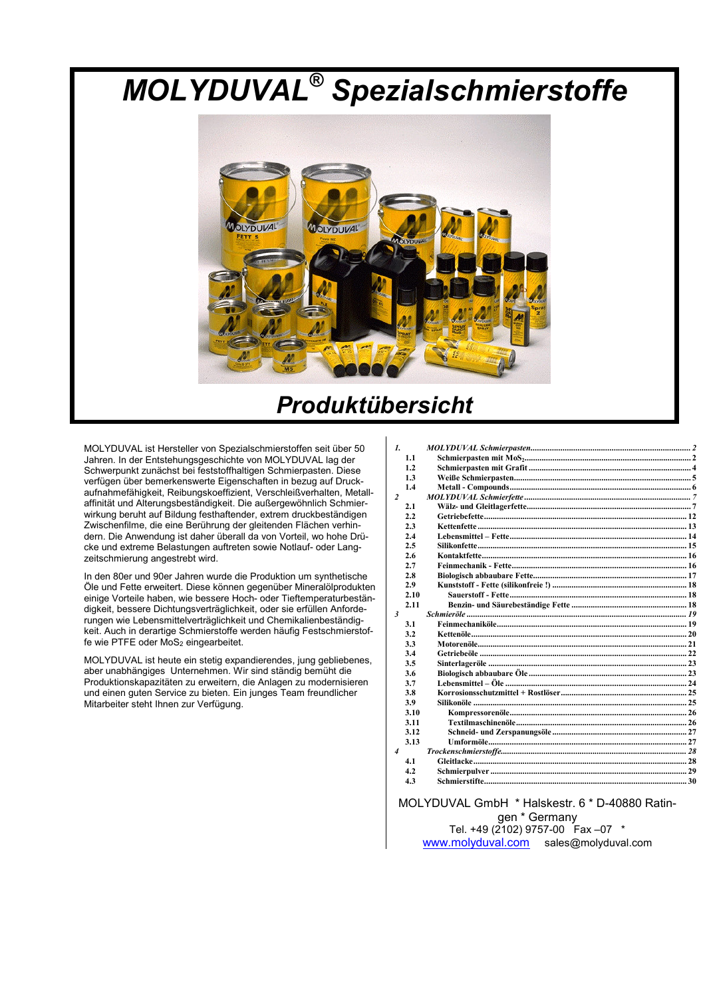# **MOLYDUVAL<sup>®</sup> Spezialschmierstoffe**



## **Produktübersicht**

MOLYDUVAL ist Hersteller von Spezialschmierstoffen seit über 50 Jahren. In der Entstehungsgeschichte von MOLYDUVAL lag der Schwerpunkt zunächst bei feststoffhaltigen Schmierpasten. Diese verfügen über bemerkenswerte Eigenschaften in bezug auf Druckaufnahmefähigkeit, Reibungskoeffizient, Verschleißverhalten, Metallaffinität und Alterungsbeständigkeit. Die außergewöhnlich Schmierwirkung beruht auf Bildung festhaftender, extrem druckbeständigen Zwischenfilme, die eine Berührung der gleitenden Flächen verhindern. Die Anwendung ist daher überall da von Vorteil, wo hohe Drücke und extreme Belastungen auftreten sowie Notlauf- oder Langzeitschmierung angestrebt wird.

In den 80er und 90er Jahren wurde die Produktion um synthetische Öle und Fette erweitert. Diese können gegenüber Mineralölprodukten einige Vorteile haben, wie bessere Hoch- oder Tieftemperaturbeständigkeit, bessere Dichtungsverträglichkeit, oder sie erfüllen Anforderungen wie Lebensmittelverträglichkeit und Chemikalienbeständigkeit. Auch in derartige Schmierstoffe werden häufig Festschmierstoffe wie PTFE oder MoS<sub>2</sub> eingearbeitet.

MOLYDUVAL ist heute ein stetig expandierendes, jung gebliebenes, aber unabhängiges Unternehmen. Wir sind ständig bemüht die Produktionskapazitäten zu erweitern, die Anlagen zu modernisieren und einen guten Service zu bieten. Ein junges Team freundlicher Mitarbeiter steht Ihnen zur Verfügung.

| $\mathbf{I}$     |      |  |
|------------------|------|--|
|                  | 1.1  |  |
|                  | 1.2  |  |
|                  | 1.3  |  |
|                  | 1.4  |  |
| 2                |      |  |
|                  | 2.1  |  |
|                  | 2.2  |  |
|                  | 2.3  |  |
|                  | 2.4  |  |
|                  | 2.5  |  |
|                  | 2.6  |  |
|                  | 2.7  |  |
|                  | 2.8  |  |
|                  | 2.9  |  |
|                  | 2.10 |  |
|                  | 2.11 |  |
| $\mathbf{3}$     |      |  |
|                  | 3.1  |  |
|                  | 3.2  |  |
|                  | 3.3  |  |
|                  | 3.4  |  |
|                  | 3.5  |  |
|                  | 3.6  |  |
|                  | 3.7  |  |
|                  | 3.8  |  |
|                  | 3.9  |  |
|                  | 3.10 |  |
|                  | 3.11 |  |
|                  | 3.12 |  |
|                  | 3.13 |  |
| $\boldsymbol{4}$ |      |  |
|                  | 4.1  |  |
|                  | 4.2  |  |
|                  | 4.3  |  |
|                  |      |  |

#### MOLYDUVAL GmbH \* Halskestr. 6 \* D-40880 Ratingen \* Germany Tel. +49 (2102) 9757-00 Fax -07 \* www.molyduval.com sales@molyduval.com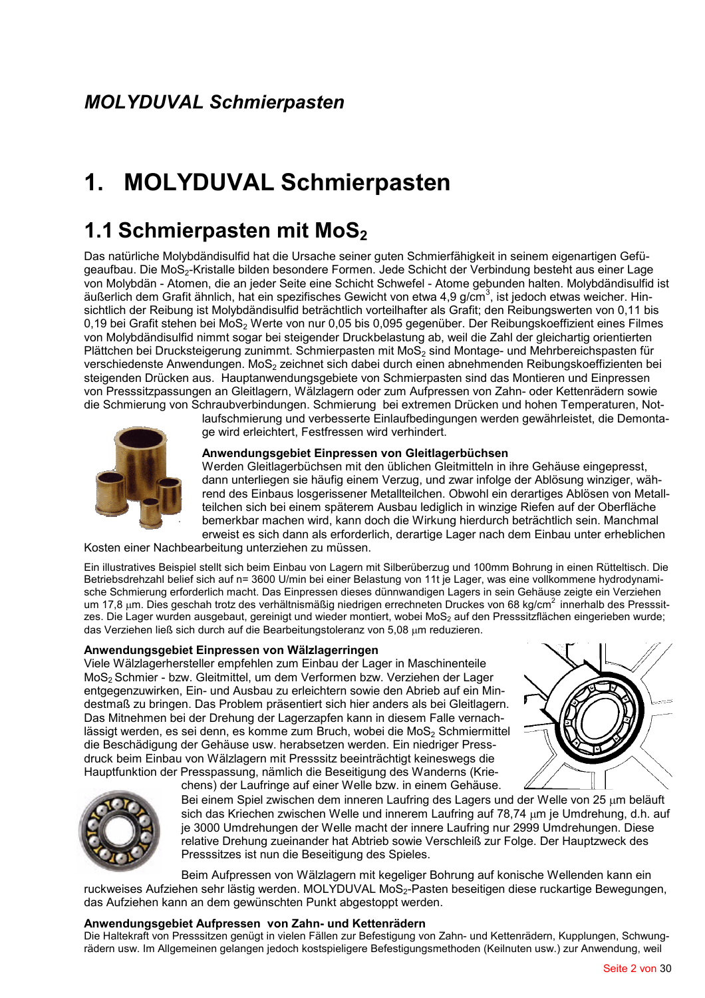# 1. MOLYDUVAL Schmierpasten

## 1.1 Schmierpasten mit MoS<sub>2</sub>

Das natürliche Molybdändisulfid hat die Ursache seiner guten Schmierfähigkeit in seinem eigenartigen Gefügeaufbau. Die MoS<sub>2</sub>-Kristalle bilden besondere Formen. Jede Schicht der Verbindung besteht aus einer Lage von Molybdän - Atomen, die an jeder Seite eine Schicht Schwefel - Atome gebunden halten. Molybdändisulfid ist äußerlich dem Grafit ähnlich, hat ein spezifisches Gewicht von etwa 4,9 g/cm<sup>3</sup>, ist jedoch etwas weicher. Hinsichtlich der Reibung ist Molybdändisulfid beträchtlich vorteilhafter als Grafit; den Reibungswerten von 0,11 bis 0,19 bei Grafit stehen bei MoS<sub>2</sub> Werte von nur 0,05 bis 0,095 gegenüber. Der Reibungskoeffizient eines Filmes von Molybdändisulfid nimmt sogar bei steigender Druckbelastung ab, weil die Zahl der gleichartig orientierten Plättchen bei Drucksteigerung zunimmt. Schmierpasten mit MoS<sub>2</sub> sind Montage- und Mehrbereichspasten für verschiedenste Anwendungen. MoS<sub>2</sub> zeichnet sich dabei durch einen abnehmenden Reibungskoeffizienten bei steigenden Drücken aus. Hauptanwendungsgebiete von Schmierpasten sind das Montieren und Einpressen von Presssitzpassungen an Gleitlagern, Wälzlagern oder zum Aufpressen von Zahn- oder Kettenrädern sowie die Schmierung von Schraubverbindungen. Schmierung bei extremen Drücken und hohen Temperaturen, Not-



laufschmierung und verbesserte Einlaufbedingungen werden gewährleistet, die Demontage wird erleichtert, Festfressen wird verhindert.

#### Anwendungsgebiet Einpressen von Gleitlagerbüchsen

Werden Gleitlagerbüchsen mit den üblichen Gleitmitteln in ihre Gehäuse eingepresst. dann unterliegen sie häufig einem Verzug, und zwar infolge der Ablösung winziger, während des Einbaus losgerissener Metallteilchen. Obwohl ein derartiges Ablösen von Metallteilchen sich bei einem späterem Ausbau lediglich in winzige Riefen auf der Oberfläche bemerkbar machen wird, kann doch die Wirkung hierdurch beträchtlich sein. Manchmal erweist es sich dann als erforderlich, derartige Lager nach dem Einbau unter erheblichen

Kosten einer Nachbearbeitung unterziehen zu müssen.

Ein illustratives Beispiel stellt sich beim Einbau von Lagern mit Silberüberzug und 100mm Bohrung in einen Rütteltisch. Die Betriebsdrehzahl belief sich auf n= 3600 U/min bei einer Belastung von 11t je Lager, was eine vollkommene hydrodynamische Schmierung erforderlich macht. Das Einpressen dieses dünnwandigen Lagers in sein Gehäuse zeigte ein Verziehen um 17,8 µm. Dies geschah trotz des verhältnismäßig niedrigen errechneten Druckes von 68 kg/cm<sup>2</sup> innerhalb des Presssitzes. Die Lager wurden ausgebaut, gereinigt und wieder montiert, wobei MoS<sub>2</sub> auf den Presssitzflächen eingerieben wurde; das Verziehen ließ sich durch auf die Bearbeitungstoleranz von 5.08 um reduzieren.

#### Anwendungsgebiet Einpressen von Wälzlagerringen

Viele Wälzlagerhersteller empfehlen zum Einbau der Lager in Maschinenteile MoS<sub>2</sub> Schmier - bzw. Gleitmittel, um dem Verformen bzw. Verziehen der Lager entgegenzuwirken, Ein- und Ausbau zu erleichtern sowie den Abrieb auf ein Mindestmaß zu bringen. Das Problem präsentiert sich hier anders als bei Gleitlagern. Das Mitnehmen bei der Drehung der Lagerzapfen kann in diesem Falle vernachlässigt werden, es sei denn, es komme zum Bruch, wobei die MoS<sub>2</sub> Schmiermittel die Beschädigung der Gehäuse usw. herabsetzen werden. Ein niedriger Pressdruck beim Einbau von Wälzlagern mit Presssitz beeinträchtigt keineswegs die Hauptfunktion der Presspassung, nämlich die Beseitigung des Wanderns (Kriechens) der Laufringe auf einer Welle bzw. in einem Gehäuse.





Bei einem Spiel zwischen dem inneren Laufring des Lagers und der Welle von 25 µm beläuft sich das Kriechen zwischen Welle und innerem Laufring auf 78,74 um je Umdrehung, d.h. auf je 3000 Umdrehungen der Welle macht der innere Laufring nur 2999 Umdrehungen. Diese relative Drehung zueinander hat Abtrieb sowie Verschleiß zur Folge. Der Hauptzweck des Presssitzes ist nun die Beseitigung des Spieles.

Beim Aufpressen von Wälzlagern mit kegeliger Bohrung auf konische Wellenden kann ein ruckweises Aufziehen sehr lästig werden. MOLYDUVAL MoS<sub>2</sub>-Pasten beseitigen diese ruckartige Bewegungen, das Aufziehen kann an dem gewünschten Punkt abgestoppt werden.

#### Anwendungsgebiet Aufpressen von Zahn- und Kettenrädern

Die Haltekraft von Presssitzen genügt in vielen Fällen zur Befestigung von Zahn- und Kettenrädern, Kupplungen, Schwungrädern usw. Im Allgemeinen gelangen jedoch kostspieligere Befestigungsmethoden (Keilnuten usw.) zur Anwendung, weil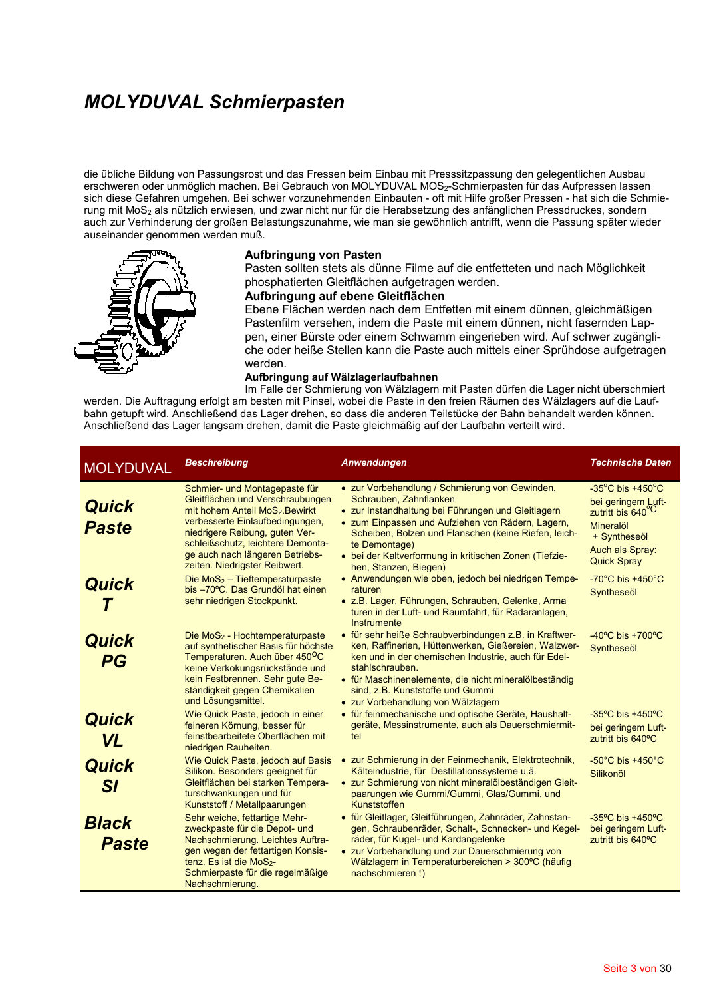### **MOLYDUVAL Schmierpasten**

die übliche Bildung von Passungsrost und das Fressen beim Einbau mit Presssitzpassung den gelegentlichen Ausbau erschweren oder unmöglich machen. Bei Gebrauch von MOLYDUVAL MOS2-Schmierpasten für das Aufpressen lassen sich diese Gefahren umgehen. Bei schwer vorzunehmenden Einbauten - oft mit Hilfe großer Pressen - hat sich die Schmierung mit MoS<sub>2</sub> als nützlich erwiesen, und zwar nicht nur für die Herabsetzung des anfänglichen Pressdruckes, sondern auch zur Verhinderung der großen Belastungszunahme, wie man sie gewöhnlich antrifft, wenn die Passung später wieder auseinander genommen werden muß.



#### Aufbringung von Pasten

Pasten sollten stets als dünne Filme auf die entfetteten und nach Möglichkeit phosphatierten Gleitflächen aufgetragen werden.

#### Aufbringung auf ebene Gleitflächen

Ebene Flächen werden nach dem Entfetten mit einem dünnen, gleichmäßigen Pastenfilm versehen, indem die Paste mit einem dünnen, nicht fasernden Lappen, einer Bürste oder einem Schwamm eingerieben wird. Auf schwer zugängliche oder heiße Stellen kann die Paste auch mittels einer Sprühdose aufgetragen werden.

#### Aufbringung auf Wälzlagerlaufbahnen

Im Falle der Schmierung von Wälzlagern mit Pasten dürfen die Lager nicht überschmiert werden. Die Auftragung erfolgt am besten mit Pinsel, wobei die Paste in den freien Räumen des Wälzlagers auf die Laufbahn getupft wird. Anschließend das Lager drehen, so dass die anderen Teilstücke der Bahn behandelt werden können. Anschließend das Lager langsam drehen, damit die Paste gleichmäßig auf der Laufbahn verteilt wird.

| <b>MOLYDUVAL</b>             | <b>Beschreibung</b>                                                                                                                                                                                                                                                                            | Anwendungen                                                                                                                                                                                                                                                                                                                                     | <b>Technische Daten</b>                                                                                                                                           |
|------------------------------|------------------------------------------------------------------------------------------------------------------------------------------------------------------------------------------------------------------------------------------------------------------------------------------------|-------------------------------------------------------------------------------------------------------------------------------------------------------------------------------------------------------------------------------------------------------------------------------------------------------------------------------------------------|-------------------------------------------------------------------------------------------------------------------------------------------------------------------|
| <b>Quick</b><br><b>Paste</b> | Schmier- und Montagepaste für<br>Gleitflächen und Verschraubungen<br>mit hohem Anteil MoS <sub>2</sub> . Bewirkt<br>verbesserte Einlaufbedingungen,<br>niedrigere Reibung, guten Ver-<br>schleißschutz, leichtere Demonta-<br>ge auch nach längeren Betriebs-<br>zeiten. Niedrigster Reibwert. | • zur Vorbehandlung / Schmierung von Gewinden,<br>Schrauben. Zahnflanken<br>• zur Instandhaltung bei Führungen und Gleitlagern<br>• zum Einpassen und Aufziehen von Rädern, Lagern,<br>Scheiben, Bolzen und Flanschen (keine Riefen, leich-<br>te Demontage)<br>• bei der Kaltverformung in kritischen Zonen (Tiefzie-<br>hen, Stanzen, Biegen) | $-35^{\circ}$ C bis $+450^{\circ}$ C<br>bei geringem Luft-<br>zutritt bis 640 <sup>°C</sup><br>Mineralöl<br>+ Syntheseöl<br>Auch als Spray:<br><b>Quick Spray</b> |
| Quick                        | Die MoS <sub>2</sub> - Tieftemperaturpaste<br>bis -70°C. Das Grundöl hat einen<br>sehr niedrigen Stockpunkt.                                                                                                                                                                                   | • Anwendungen wie oben, jedoch bei niedrigen Tempe-<br>raturen<br>• z.B. Lager, Führungen, Schrauben, Gelenke, Arma<br>turen in der Luft- und Raumfahrt, für Radaranlagen,<br>Instrumente                                                                                                                                                       | $-70^{\circ}$ C bis $+450^{\circ}$ C<br>Syntheseöl                                                                                                                |
| Quick<br>PG                  | Die MoS <sub>2</sub> - Hochtemperaturpaste<br>auf synthetischer Basis für höchste<br>Temperaturen. Auch über 450 <sup>o</sup> C<br>keine Verkokungsrückstände und<br>kein Festbrennen. Sehr gute Be-<br>ständigkeit gegen Chemikalien<br>und Lösungsmittel.                                    | • für sehr heiße Schraubverbindungen z.B. in Kraftwer-<br>ken, Raffinerien, Hüttenwerken, Gießereien, Walzwer-<br>ken und in der chemischen Industrie, auch für Edel-<br>stahlschrauben.<br>• für Maschinenelemente, die nicht mineralölbeständig<br>sind, z.B. Kunststoffe und Gummi<br>• zur Vorbehandlung von Wälzlagern                     | $-40^{\circ}$ C bis $+700^{\circ}$ C<br>Syntheseöl                                                                                                                |
| Quick<br><b>VL</b>           | Wie Quick Paste, jedoch in einer<br>feineren Körnung, besser für<br>feinstbearbeitete Oberflächen mit<br>niedrigen Rauheiten.                                                                                                                                                                  | • für feinmechanische und optische Geräte, Haushalt-<br>geräte, Messinstrumente, auch als Dauerschmiermit-<br>tel                                                                                                                                                                                                                               | $-35^{\circ}$ C bis +450 $^{\circ}$ C<br>bei geringem Luft-<br>zutritt bis 640°C                                                                                  |
| <b>Quick</b><br><b>SI</b>    | Wie Quick Paste, jedoch auf Basis<br>Silikon. Besonders geeignet für<br>Gleitflächen bei starken Tempera-<br>turschwankungen und für<br>Kunststoff / Metallpaarungen                                                                                                                           | • zur Schmierung in der Feinmechanik, Elektrotechnik,<br>Kälteindustrie, für Destillationssysteme u.ä.<br>• zur Schmierung von nicht mineralölbeständigen Gleit-<br>paarungen wie Gummi/Gummi, Glas/Gummi, und<br>Kunststoffen                                                                                                                  | $-50^{\circ}$ C bis $+450^{\circ}$ C<br>Silikonöl                                                                                                                 |
| <b>Black</b><br><b>Paste</b> | Sehr weiche, fettartige Mehr-<br>zweckpaste für die Depot- und<br>Nachschmierung. Leichtes Auftra-<br>gen wegen der fettartigen Konsis-<br>tenz. Es ist die MoS <sub>2</sub> -<br>Schmierpaste für die regelmäßige<br>Nachschmierung.                                                          | • für Gleitlager, Gleitführungen, Zahnräder, Zahnstan-<br>gen, Schraubenräder, Schalt-, Schnecken- und Kegel-<br>räder, für Kugel- und Kardangelenke<br>• zur Vorbehandlung und zur Dauerschmierung von<br>Wälzlagern in Temperaturbereichen > 300°C (häufig<br>nachschmieren!)                                                                 | $-35^{\circ}$ C bis $+450^{\circ}$ C<br>bei geringem Luft-<br>zutritt bis 640°C                                                                                   |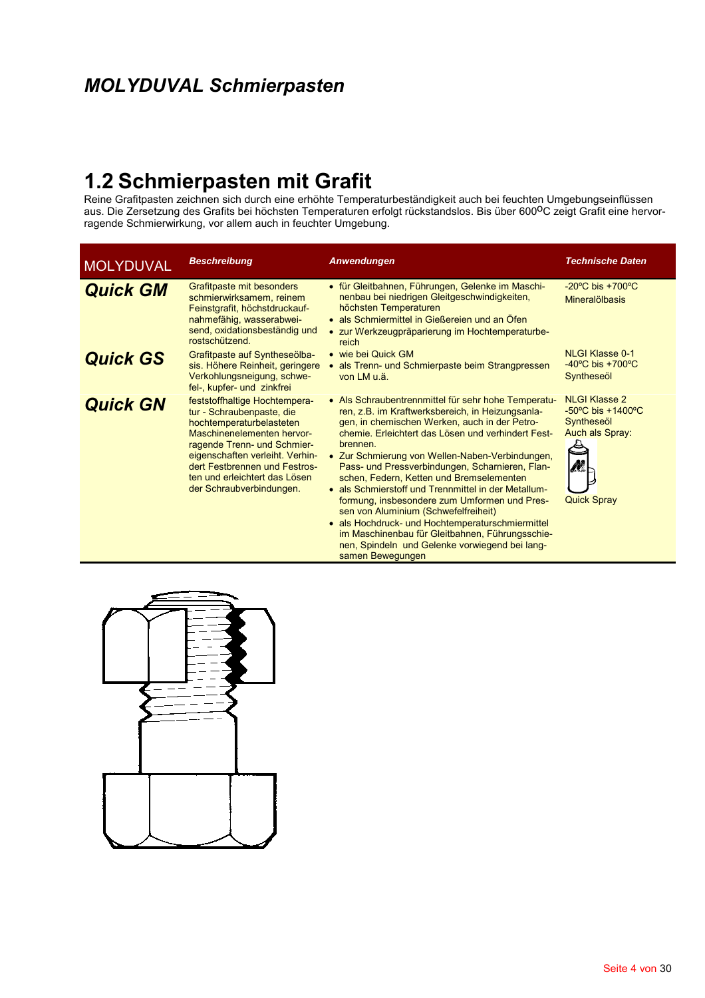## **MOLYDUVAL Schmierpasten**

1.2 Schmierpasten mit Grafit<br>Reine Grafitpasten zeichnen sich durch eine erhöhte Temperaturbeständigkeit auch bei feuchten Umgebungseinflüssen<br>aus. Die Zersetzung des Grafits bei höchsten Temperaturen erfolgt rückstandslos ragende Schmierwirkung, vor allem auch in feuchter Umgebung.

| <b>MOLYDUVAL</b> | <b>Beschreibung</b>                                                                                                                                                                                                                                                                  | Anwendungen                                                                                                                                                                                                                                                                                                                                                                                                                                                                                                                                                                                                                                                                                              | <b>Technische Daten</b>                                                                                                   |
|------------------|--------------------------------------------------------------------------------------------------------------------------------------------------------------------------------------------------------------------------------------------------------------------------------------|----------------------------------------------------------------------------------------------------------------------------------------------------------------------------------------------------------------------------------------------------------------------------------------------------------------------------------------------------------------------------------------------------------------------------------------------------------------------------------------------------------------------------------------------------------------------------------------------------------------------------------------------------------------------------------------------------------|---------------------------------------------------------------------------------------------------------------------------|
| <b>Quick GM</b>  | Grafitpaste mit besonders<br>schmierwirksamem, reinem<br>Feinstgrafit, höchstdruckauf-<br>nahmefähig, wasserabwei-<br>send, oxidationsbeständig und<br>rostschützend.                                                                                                                | • für Gleitbahnen, Führungen, Gelenke im Maschi-<br>nenbau bei niedrigen Gleitgeschwindigkeiten,<br>höchsten Temperaturen<br>• als Schmiermittel in Gießereien und an Öfen<br>• zur Werkzeugpräparierung im Hochtemperaturbe-<br>reich                                                                                                                                                                                                                                                                                                                                                                                                                                                                   | $-20^{\circ}$ C bis $+700^{\circ}$ C<br>Mineralölbasis                                                                    |
| <b>Quick GS</b>  | Grafitpaste auf Syntheseölba-<br>sis. Höhere Reinheit, geringere<br>Verkohlungsneigung, schwe-<br>fel-, kupfer- und zinkfrei                                                                                                                                                         | • wie bei Quick GM<br>• als Trenn- und Schmierpaste beim Strangpressen<br>von LM u.ä.                                                                                                                                                                                                                                                                                                                                                                                                                                                                                                                                                                                                                    | <b>NLGI Klasse 0-1</b><br>$-40^{\circ}$ C bis $+700^{\circ}$ C<br>Syntheseöl                                              |
| <b>Quick GN</b>  | feststoffhaltige Hochtempera-<br>tur - Schraubenpaste, die<br>hochtemperaturbelasteten<br>Maschinenelementen hervor-<br>ragende Trenn- und Schmier-<br>eigenschaften verleiht. Verhin-<br>dert Festbrennen und Festros-<br>ten und erleichtert das Lösen<br>der Schraubverbindungen. | • Als Schraubentrennmittel für sehr hohe Temperatu-<br>ren, z.B. im Kraftwerksbereich, in Heizungsanla-<br>gen, in chemischen Werken, auch in der Petro-<br>chemie. Erleichtert das Lösen und verhindert Fest-<br>brennen.<br>• Zur Schmierung von Wellen-Naben-Verbindungen,<br>Pass- und Pressverbindungen, Scharnieren, Flan-<br>schen, Federn, Ketten und Bremselementen<br>• als Schmierstoff und Trennmittel in der Metallum-<br>formung, insbesondere zum Umformen und Pres-<br>sen von Aluminium (Schwefelfreiheit)<br>• als Hochdruck- und Hochtemperaturschmiermittel<br>im Maschinenbau für Gleitbahnen, Führungsschie-<br>nen, Spindeln und Gelenke vorwiegend bei lang-<br>samen Bewegungen | <b>NLGI Klasse 2</b><br>$-50^{\circ}$ C bis $+1400^{\circ}$ C<br>Syntheseöl<br>Auch als Spray:<br>M<br><b>Quick Spray</b> |

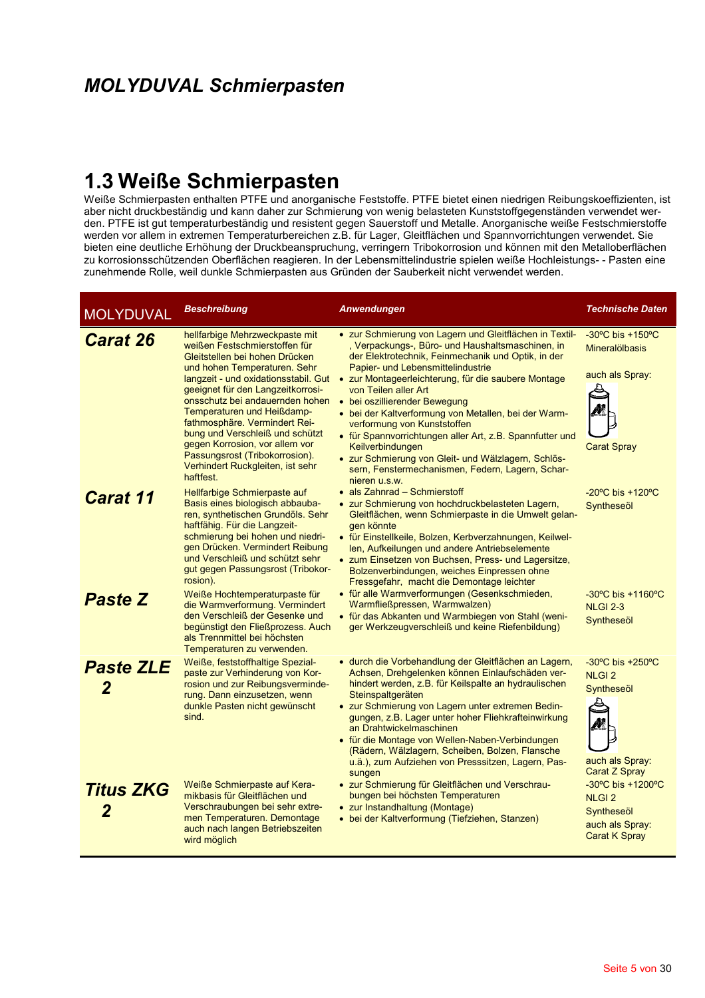## 1.3 Weiße Schmierpasten

Weiße Schmierpasten enthalten PTFE und anorganische Feststoffe. PTFE bietet einen niedrigen Reibungskoeffizienten, ist aber nicht druckbeständig und kann daher zur Schmierung von wenig belasteten Kunststoffgegenständen ver den. PTFE ist gut temperaturbeständig und resistent gegen Sauerstoff und Metalle. Anorganische weiße Festschmierstoffe werden vor allem in extremen Temperaturbereichen z.B. für Lager, Gleitflächen und Spannvorrichtungen verwendet. Sie bieten eine deutliche Erhöhung der Druckbeanspruchung, verringern Tribokorrosion und können mit den Metalloberflächen zu korrosionsschützenden Oberflächen reagieren. In der Lebensmittelindustrie spielen weiße Hochleistungs- - Pasten eine zunehmende Rolle, weil dunkle Schmierpasten aus Gründen der Sauberkeit nicht verwendet werden.

| <b>MOLYDUVAL</b>      | <b>Beschreibung</b>                                                                                                                                                                                                                                                                                                                                                                                                                                                      | <b>Anwendungen</b>                                                                                                                                                                                                                                                                                                                                                                                                                                                                                                                                                                                                               | <b>Technische Daten</b>                                                                                        |
|-----------------------|--------------------------------------------------------------------------------------------------------------------------------------------------------------------------------------------------------------------------------------------------------------------------------------------------------------------------------------------------------------------------------------------------------------------------------------------------------------------------|----------------------------------------------------------------------------------------------------------------------------------------------------------------------------------------------------------------------------------------------------------------------------------------------------------------------------------------------------------------------------------------------------------------------------------------------------------------------------------------------------------------------------------------------------------------------------------------------------------------------------------|----------------------------------------------------------------------------------------------------------------|
| <b>Carat 26</b>       | hellfarbige Mehrzweckpaste mit<br>weißen Festschmierstoffen für<br>Gleitstellen bei hohen Drücken<br>und hohen Temperaturen. Sehr<br>langzeit - und oxidationsstabil. Gut<br>geeignet für den Langzeitkorrosi-<br>onsschutz bei andauernden hohen<br>Temperaturen und Heißdamp-<br>fathmosphäre. Vermindert Rei-<br>bung und Verschleiß und schützt<br>gegen Korrosion, vor allem vor<br>Passungsrost (Tribokorrosion).<br>Verhindert Ruckgleiten, ist sehr<br>haftfest. | • zur Schmierung von Lagern und Gleitflächen in Textil-<br>, Verpackungs-, Büro- und Haushaltsmaschinen, in<br>der Elektrotechnik, Feinmechanik und Optik, in der<br>Papier- und Lebensmittelindustrie<br>• zur Montageerleichterung, für die saubere Montage<br>von Teilen aller Art<br>• bei oszillierender Bewegung<br>• bei der Kaltverformung von Metallen, bei der Warm-<br>verformung von Kunststoffen<br>• für Spannvorrichtungen aller Art, z.B. Spannfutter und<br><b>Keilverbindungen</b><br>• zur Schmierung von Gleit- und Wälzlagern, Schlös-<br>sern, Fenstermechanismen, Federn, Lagern, Schar-<br>nieren u.s.w. | $-30^{\circ}$ C bis $+150^{\circ}$ C<br><b>Mineralölbasis</b><br>auch als Spray:<br><b>Carat Spray</b>         |
| <b>Carat 11</b>       | Hellfarbige Schmierpaste auf<br>Basis eines biologisch abbauba-<br>ren, synthetischen Grundöls. Sehr<br>haftfähig. Für die Langzeit-<br>schmierung bei hohen und niedri-<br>gen Drücken. Vermindert Reibung<br>und Verschleiß und schützt sehr<br>gut gegen Passungsrost (Tribokor-<br>rosion).                                                                                                                                                                          | • als Zahnrad - Schmierstoff<br>· zur Schmierung von hochdruckbelasteten Lagern,<br>Gleitflächen, wenn Schmierpaste in die Umwelt gelan-<br>gen könnte<br>• für Einstellkeile, Bolzen, Kerbverzahnungen, Keilwel-<br>len, Aufkeilungen und andere Antriebselemente<br>• zum Einsetzen von Buchsen, Press- und Lagersitze,<br>Bolzenverbindungen, weiches Einpressen ohne<br>Fressgefahr, macht die Demontage leichter                                                                                                                                                                                                            | $-20^{\circ}$ C bis $+120^{\circ}$ C<br>Syntheseöl                                                             |
| <b>Paste Z</b>        | Weiße Hochtemperaturpaste für<br>die Warmverformung. Vermindert<br>den Verschleiß der Gesenke und<br>begünstigt den Fließprozess. Auch<br>als Trennmittel bei höchsten<br>Temperaturen zu verwenden.                                                                                                                                                                                                                                                                     | • für alle Warmverformungen (Gesenkschmieden,<br>Warmfließpressen, Warmwalzen)<br>• für das Abkanten und Warmbiegen von Stahl (weni-<br>ger Werkzeugverschleiß und keine Riefenbildung)                                                                                                                                                                                                                                                                                                                                                                                                                                          | $-30^{\circ}$ C bis $+1160^{\circ}$ C<br><b>NLGI 2-3</b><br>Syntheseöl                                         |
| <b>Paste ZLE</b><br>2 | Weiße, feststoffhaltige Spezial-<br>paste zur Verhinderung von Kor-<br>rosion und zur Reibungsverminde-<br>rung. Dann einzusetzen, wenn<br>dunkle Pasten nicht gewünscht<br>sind.                                                                                                                                                                                                                                                                                        | · durch die Vorbehandlung der Gleitflächen an Lagern,<br>Achsen, Drehgelenken können Einlaufschäden ver-<br>hindert werden, z.B. für Keilspalte an hydraulischen<br>Steinspaltgeräten<br>• zur Schmierung von Lagern unter extremen Bedin-<br>gungen, z.B. Lager unter hoher Fliehkrafteinwirkung<br>an Drahtwickelmaschinen<br>• für die Montage von Wellen-Naben-Verbindungen<br>(Rädern, Wälzlagern, Scheiben, Bolzen, Flansche<br>u.ä.), zum Aufziehen von Presssitzen, Lagern, Pas-<br>sungen                                                                                                                               | $-30^{\circ}$ C bis $+250^{\circ}$ C<br><b>NLGI2</b><br>Syntheseöl<br>auch als Spray:<br><b>Carat Z Spray</b>  |
| <b>Titus ZKG</b>      | Weiße Schmierpaste auf Kera-<br>mikbasis für Gleitflächen und<br>Verschraubungen bei sehr extre-<br>men Temperaturen. Demontage<br>auch nach langen Betriebszeiten<br>wird möglich                                                                                                                                                                                                                                                                                       | • zur Schmierung für Gleitflächen und Verschrau-<br>bungen bei höchsten Temperaturen<br>• zur Instandhaltung (Montage)<br>• bei der Kaltverformung (Tiefziehen, Stanzen)                                                                                                                                                                                                                                                                                                                                                                                                                                                         | $-30^{\circ}$ C bis $+1200^{\circ}$ C<br><b>NLGI2</b><br>Syntheseöl<br>auch als Spray:<br><b>Carat K Spray</b> |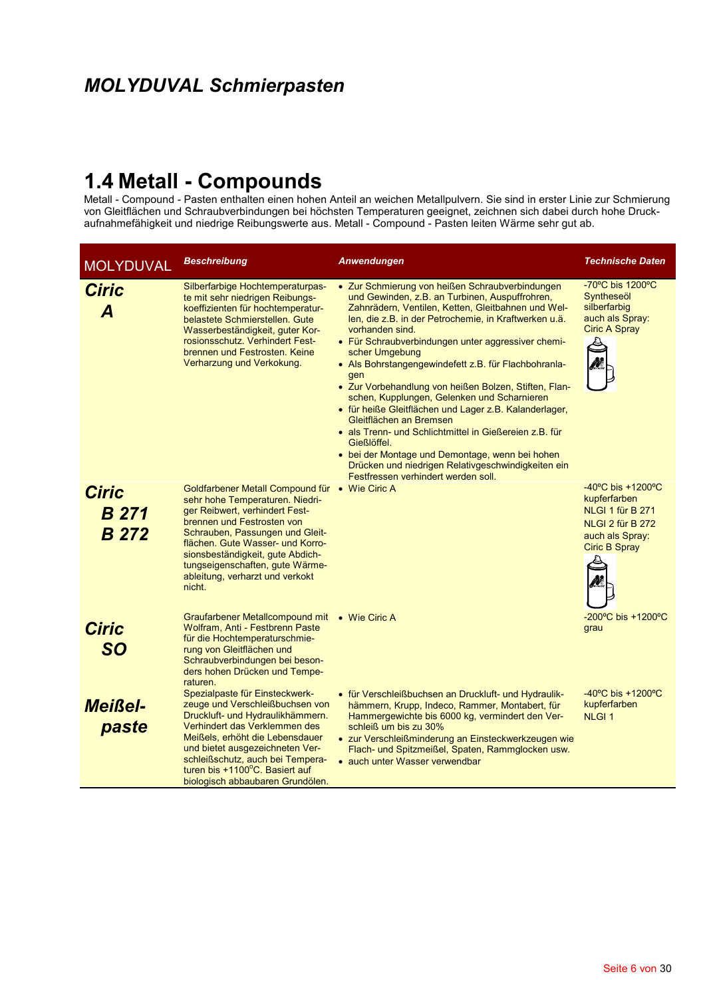## **MOLYDUVAL Schmierpasten**

1.4 Metall - Compound - Pasten enthalten einen hohen Anteil an weichen Metallpulvern. Sie sind in erster Linie zur Schmierung<br>von Gleitflächen und Schraubverbindungen bei höchsten Temperaturen geeignet, zeichnen sich dabei aufnahmefähigkeit und niedrige Reibungswerte aus. Metall - Compound - Pasten leiten Wärme sehr gut ab.

| <b>MOLYDUVAL</b>                             | <b>Beschreibung</b>                                                                                                                                                                                                                                                                                                                          | Anwendungen                                                                                                                                                                                                                                                                                                                                                                                                                                                                                                                                                                                                                                                                                                                                                                                      | <b>Technische Daten</b>                                                                                                                  |
|----------------------------------------------|----------------------------------------------------------------------------------------------------------------------------------------------------------------------------------------------------------------------------------------------------------------------------------------------------------------------------------------------|--------------------------------------------------------------------------------------------------------------------------------------------------------------------------------------------------------------------------------------------------------------------------------------------------------------------------------------------------------------------------------------------------------------------------------------------------------------------------------------------------------------------------------------------------------------------------------------------------------------------------------------------------------------------------------------------------------------------------------------------------------------------------------------------------|------------------------------------------------------------------------------------------------------------------------------------------|
| <b>Ciric</b><br>A                            | Silberfarbige Hochtemperaturpas-<br>te mit sehr niedrigen Reibungs-<br>koeffizienten für hochtemperatur-<br>belastete Schmierstellen. Gute<br>Wasserbeständigkeit, guter Kor-<br>rosionsschutz. Verhindert Fest-<br>brennen und Festrosten. Keine<br>Verharzung und Verkokung.                                                               | • Zur Schmierung von heißen Schraubverbindungen<br>und Gewinden, z.B. an Turbinen, Auspuffrohren,<br>Zahnrädern, Ventilen, Ketten, Gleitbahnen und Wel-<br>len, die z.B. in der Petrochemie, in Kraftwerken u.ä.<br>vorhanden sind.<br>• Für Schraubverbindungen unter aggressiver chemi-<br>scher Umgebung<br>• Als Bohrstangengewindefett z.B. für Flachbohranla-<br>gen<br>• Zur Vorbehandlung von heißen Bolzen, Stiften, Flan-<br>schen, Kupplungen, Gelenken und Scharnieren<br>· für heiße Gleitflächen und Lager z.B. Kalanderlager,<br>Gleitflächen an Bremsen<br>• als Trenn- und Schlichtmittel in Gießereien z.B. für<br>Gießlöffel.<br>• bei der Montage und Demontage, wenn bei hohen<br>Drücken und niedrigen Relativgeschwindigkeiten ein<br>Festfressen verhindert werden soll. | -70°C bis 1200°C<br>Syntheseöl<br>silberfarbig<br>auch als Spray:<br><b>Ciric A Spray</b>                                                |
| <b>Ciric</b><br><b>B</b> 271<br><b>B</b> 272 | Goldfarbener Metall Compound für • Wie Ciric A<br>sehr hohe Temperaturen. Niedri-<br>ger Reibwert, verhindert Fest-<br>brennen und Festrosten von<br>Schrauben, Passungen und Gleit-<br>flächen. Gute Wasser- und Korro-<br>sionsbeständigkeit, gute Abdich-<br>tungseigenschaften, gute Wärme-<br>ableitung, verharzt und verkokt<br>nicht. |                                                                                                                                                                                                                                                                                                                                                                                                                                                                                                                                                                                                                                                                                                                                                                                                  | $-40^{\circ}$ C bis $+1200^{\circ}$ C<br>kupferfarben<br>NLGI 1 für B 271<br>NLGI 2 für B 272<br>auch als Spray:<br><b>Ciric B Spray</b> |
| <b>Ciric</b><br><b>SO</b>                    | Graufarbener Metallcompound mit • Wie Ciric A<br>Wolfram, Anti - Festbrenn Paste<br>für die Hochtemperaturschmie-<br>rung von Gleitflächen und<br>Schraubverbindungen bei beson-<br>ders hohen Drücken und Tempe-<br>raturen.                                                                                                                |                                                                                                                                                                                                                                                                                                                                                                                                                                                                                                                                                                                                                                                                                                                                                                                                  | $-200^{\circ}$ C bis $+1200^{\circ}$ C<br>grau                                                                                           |
| <b>Meißel-</b><br>paste                      | Spezialpaste für Einsteckwerk-<br>zeuge und Verschleißbuchsen von<br>Druckluft- und Hydraulikhämmern.<br>Verhindert das Verklemmen des<br>Meißels, erhöht die Lebensdauer<br>und bietet ausgezeichneten Ver-<br>schleißschutz, auch bei Tempera-<br>turen bis +1100°C. Basiert auf<br>biologisch abbaubaren Grundölen.                       | • für Verschleißbuchsen an Druckluft- und Hydraulik-<br>hämmern, Krupp, Indeco, Rammer, Montabert, für<br>Hammergewichte bis 6000 kg, vermindert den Ver-<br>schleiß um bis zu 30%<br>• zur Verschleißminderung an Einsteckwerkzeugen wie<br>Flach- und Spitzmeißel, Spaten, Rammglocken usw.<br>• auch unter Wasser verwendbar                                                                                                                                                                                                                                                                                                                                                                                                                                                                  | $-40^{\circ}$ C bis $+1200^{\circ}$ C<br>kupferfarben<br><b>NLGI1</b>                                                                    |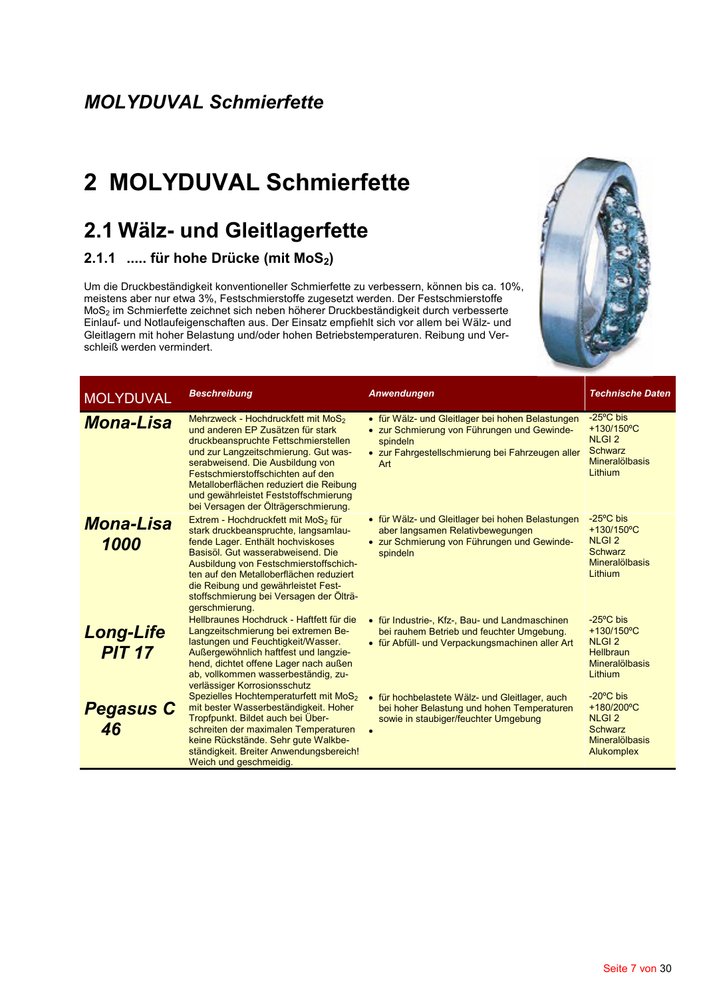## 2 MOLYDUVAL Schmierfette

## 2.1 Wälz- und Gleitlagerfette

#### 2.1.1 ..... für hohe Drücke (mit MoS<sub>2</sub>)

Um die Druckbeständigkeit konventioneller Schmierfette zu verbessern, können bis ca. 10%, meistens aber nur etwa 3%, Festschmierstoffe zugesetzt werden. Der Festschmierstoffe MoS<sub>2</sub> im Schmierfette zeichnet sich neben höherer Druckbeständigkeit durch verbesserte Einlauf- und Notlaufeigenschaften aus. Der Einsatz empfiehlt sich vor allem bei Wälz- und Gleitlagern mit hoher Belastung und/oder hohen Betriebstemperaturen. Reibung und Verschleiß werden vermindert.



| <b>MOLYDUVAL</b>                  | <b>Beschreibung</b>                                                                                                                                                                                                                                                                                                                                                      | Anwendungen                                                                                                                                                            | <b>Technische Date</b>                                                                                            |
|-----------------------------------|--------------------------------------------------------------------------------------------------------------------------------------------------------------------------------------------------------------------------------------------------------------------------------------------------------------------------------------------------------------------------|------------------------------------------------------------------------------------------------------------------------------------------------------------------------|-------------------------------------------------------------------------------------------------------------------|
| <b>Mona-Lisa</b>                  | Mehrzweck - Hochdruckfett mit MoS <sub>2</sub><br>und anderen EP Zusätzen für stark<br>druckbeanspruchte Fettschmierstellen<br>und zur Langzeitschmierung. Gut was-<br>serabweisend. Die Ausbildung von<br>Festschmierstoffschichten auf den<br>Metalloberflächen reduziert die Reibung<br>und gewährleistet Feststoffschmierung<br>bei Versagen der Ölträgerschmierung. | • für Wälz- und Gleitlager bei hohen Belastungen<br>• zur Schmierung von Führungen und Gewinde-<br>spindeln<br>• zur Fahrgestellschmierung bei Fahrzeugen aller<br>Art | $-25^{\circ}$ C bis<br>$+130/150^{\circ}$ C<br><b>NLGI2</b><br><b>Schwarz</b><br><b>Mineralölbasis</b><br>Lithium |
| <b>Mona-Lisa</b><br>1000          | Extrem - Hochdruckfett mit MoS <sub>2</sub> für<br>stark druckbeanspruchte, langsamlau-<br>fende Lager. Enthält hochviskoses<br>Basisöl. Gut wasserabweisend. Die<br>Ausbildung von Festschmierstoffschich-<br>ten auf den Metalloberflächen reduziert<br>die Reibung und gewährleistet Fest-<br>stoffschmierung bei Versagen der Ölträ-<br>gerschmierung.               | • für Wälz- und Gleitlager bei hohen Belastungen<br>aber langsamen Relativbewegungen<br>• zur Schmierung von Führungen und Gewinde-<br>spindeln                        | $-25^{\circ}$ C bis<br>+130/150°C<br><b>NLGI2</b><br><b>Schwarz</b><br><b>Mineralölbasis</b><br>Lithium           |
| <b>Long-Life</b><br><b>PIT 17</b> | Hellbraunes Hochdruck - Haftfett für die<br>Langzeitschmierung bei extremen Be-<br>lastungen und Feuchtigkeit/Wasser.<br>Außergewöhnlich haftfest und langzie-<br>hend, dichtet offene Lager nach außen<br>ab, vollkommen wasserbeständig, zu-<br>verlässiger Korrosionsschutz                                                                                           | • für Industrie-, Kfz-, Bau- und Landmaschinen<br>bei rauhem Betrieb und feuchter Umgebung.<br>• für Abfüll- und Verpackungsmachinen aller Art                         | $-25^{\circ}$ C bis<br>+130/150°C<br><b>NLGI2</b><br><b>Hellbraun</b><br><b>Mineralölbasis</b><br>Lithium         |
| <b>Pegasus C</b><br>46            | Spezielles Hochtemperaturfett mit MoS <sub>2</sub><br>mit bester Wasserbeständigkeit. Hoher<br>Tropfpunkt. Bildet auch bei Über-<br>schreiten der maximalen Temperaturen<br>keine Rückstände. Sehr gute Walkbe-<br>ständigkeit. Breiter Anwendungsbereich!<br>Weich und geschmeidig                                                                                      | • für hochbelastete Wälz- und Gleitlager, auch<br>bei hoher Belastung und hohen Temperaturen<br>sowie in staubiger/feuchter Umgebung                                   | $-20^{\circ}$ C bis<br>+180/200°C<br><b>NLGI2</b><br><b>Schwarz</b><br><b>Mineralölbasis</b><br><b>Alukomplex</b> |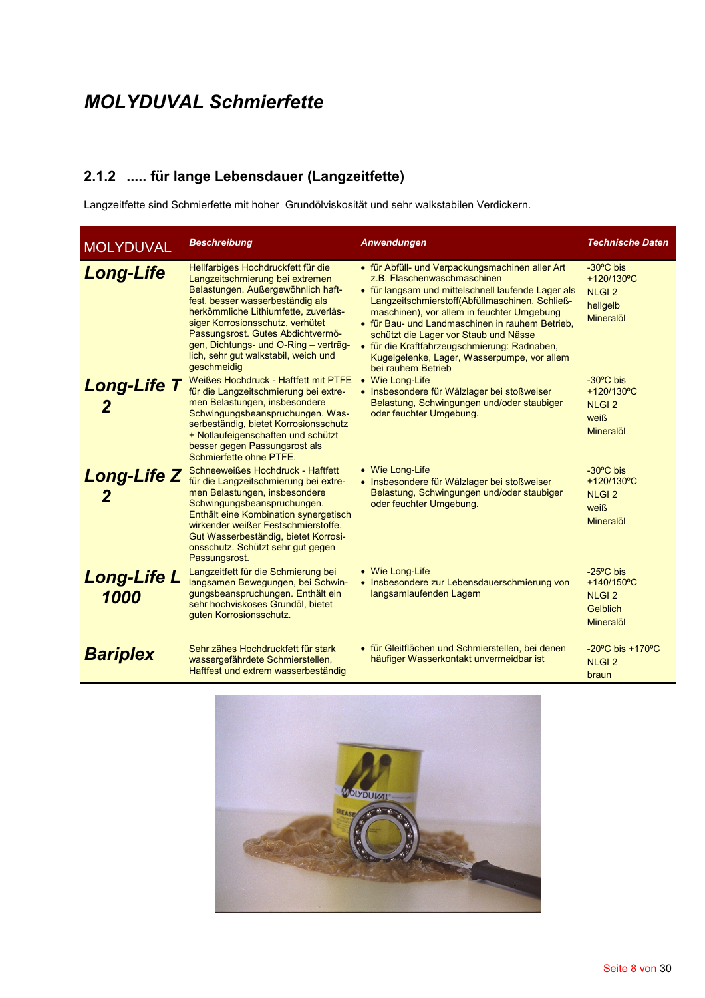#### 2.1.2 ..... für lange Lebensdauer (Langzeitfette)

Langzeitfette sind Schmierfette mit hoher Grundölviskosität und sehr walkstabilen Verdickern.

| <b>MOLYDUVAL</b>           | <b>Beschreibung</b>                                                                                                                                                                                                                                                                                                                                              | Anwendungen                                                                                                                                                                                                                                                                                                                                                                                                                                           | <b>Technische Daten</b>                                                           |
|----------------------------|------------------------------------------------------------------------------------------------------------------------------------------------------------------------------------------------------------------------------------------------------------------------------------------------------------------------------------------------------------------|-------------------------------------------------------------------------------------------------------------------------------------------------------------------------------------------------------------------------------------------------------------------------------------------------------------------------------------------------------------------------------------------------------------------------------------------------------|-----------------------------------------------------------------------------------|
| <b>Long-Life</b>           | Hellfarbiges Hochdruckfett für die<br>Langzeitschmierung bei extremen<br>Belastungen. Außergewöhnlich haft-<br>fest, besser wasserbeständig als<br>herkömmliche Lithiumfette, zuverläs-<br>siger Korrosionsschutz, verhütet<br>Passungsrost. Gutes Abdichtvermö-<br>gen, Dichtungs- und O-Ring - verträg-<br>lich, sehr gut walkstabil, weich und<br>geschmeidig | • für Abfüll- und Verpackungsmachinen aller Art<br>z.B. Flaschenwaschmaschinen<br>• für langsam und mittelschnell laufende Lager als<br>Langzeitschmierstoff(Abfüllmaschinen, Schließ-<br>maschinen), vor allem in feuchter Umgebung<br>• für Bau- und Landmaschinen in rauhem Betrieb,<br>schützt die Lager vor Staub und Nässe<br>• für die Kraftfahrzeugschmierung: Radnaben,<br>Kugelgelenke, Lager, Wasserpumpe, vor allem<br>bei rauhem Betrieb | -30°C bis<br>+120/130°C<br><b>NLGI2</b><br>hellgelb<br><b>Mineralöl</b>           |
| <b>Long-Life T</b><br>2    | Weißes Hochdruck - Haftfett mit PTFE<br>für die Langzeitschmierung bei extre-<br>men Belastungen, insbesondere<br>Schwingungsbeanspruchungen. Was-<br>serbeständig, bietet Korrosionsschutz<br>+ Notlaufeigenschaften und schützt<br>besser gegen Passungsrost als<br>Schmierfette ohne PTFE.                                                                    | • Wie Long-Life<br>• Insbesondere für Wälzlager bei stoßweiser<br>Belastung, Schwingungen und/oder staubiger<br>oder feuchter Umgebung.                                                                                                                                                                                                                                                                                                               | $-30^{\circ}$ C bis<br>+120/130°C<br><b>NLGI2</b><br>weiß<br><b>Mineralöl</b>     |
| <b>Long-Life Z</b><br>2    | Schneeweißes Hochdruck - Haftfett<br>für die Langzeitschmierung bei extre-<br>men Belastungen, insbesondere<br>Schwingungsbeanspruchungen.<br>Enthält eine Kombination synergetisch<br>wirkender weißer Festschmierstoffe.<br>Gut Wasserbeständig, bietet Korrosi-<br>onsschutz. Schützt sehr gut gegen<br>Passungsrost.                                         | • Wie Long-Life<br>• Insbesondere für Wälzlager bei stoßweiser<br>Belastung, Schwingungen und/oder staubiger<br>oder feuchter Umgebung.                                                                                                                                                                                                                                                                                                               | $-30^{\circ}$ C bis<br>+120/130°C<br><b>NLGI2</b><br>weiß<br><b>Mineralöl</b>     |
| <b>Long-Life L</b><br>1000 | Langzeitfett für die Schmierung bei<br>langsamen Bewegungen, bei Schwin-<br>gungsbeanspruchungen. Enthält ein<br>sehr hochviskoses Grundöl, bietet<br>guten Korrosionsschutz.                                                                                                                                                                                    | • Wie Long-Life<br>• Insbesondere zur Lebensdauerschmierung von<br>langsamlaufenden Lagern                                                                                                                                                                                                                                                                                                                                                            | $-25^{\circ}$ C bis<br>+140/150°C<br><b>NLGI2</b><br>Gelblich<br><b>Mineralöl</b> |
| <b>Bariplex</b>            | Sehr zähes Hochdruckfett für stark<br>wassergefährdete Schmierstellen,<br>Haftfest und extrem wasserbeständig                                                                                                                                                                                                                                                    | • für Gleitflächen und Schmierstellen, bei denen<br>häufiger Wasserkontakt unvermeidbar ist                                                                                                                                                                                                                                                                                                                                                           | $-20^{\circ}$ C bis $+170^{\circ}$ C<br><b>NLGI2</b><br>braun                     |

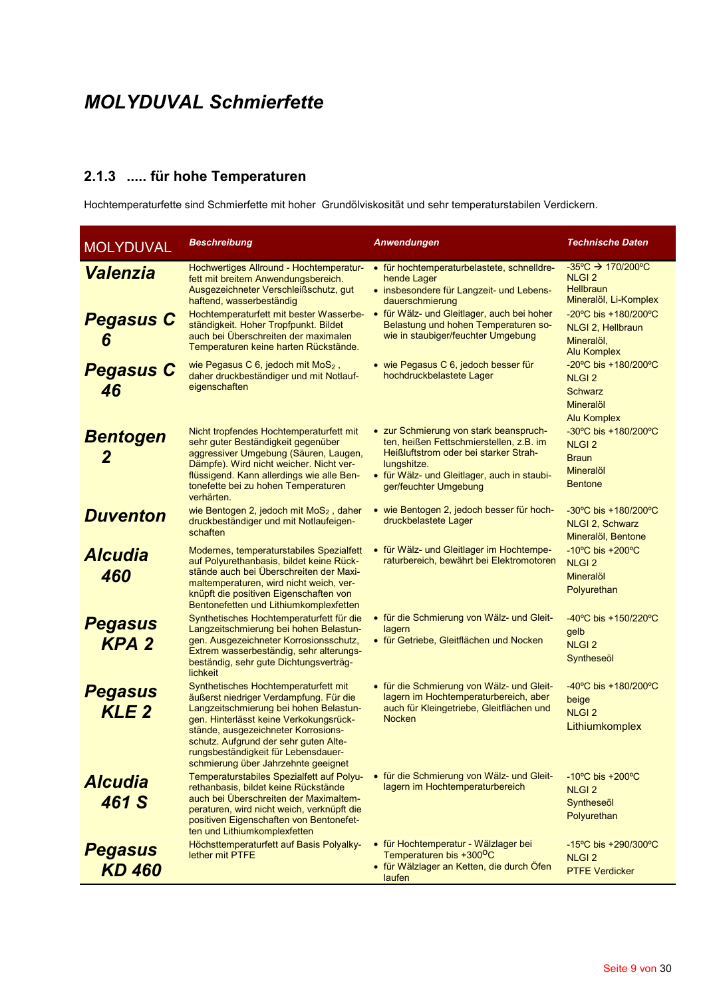#### 2.1.3 ..... für hohe Temperaturen

Hochtemperaturfette sind Schmierfette mit hoher Grundölviskosität und sehr temperaturstabilen Verdickern.

| <b>MOLYDUVAL</b>                         | <b>Beschreibung</b>                                                                                                                                                                                                                                                                                                              | Anwendungen                                                                                                                                                                                                                                          | <b>Technische Daten</b>                                                                                                                                                                   |
|------------------------------------------|----------------------------------------------------------------------------------------------------------------------------------------------------------------------------------------------------------------------------------------------------------------------------------------------------------------------------------|------------------------------------------------------------------------------------------------------------------------------------------------------------------------------------------------------------------------------------------------------|-------------------------------------------------------------------------------------------------------------------------------------------------------------------------------------------|
| <b>Valenzia</b><br><b>Pegasus C</b><br>6 | Hochwertiges Allround - Hochtemperatur-<br>fett mit breitem Anwendungsbereich.<br>Ausgezeichneter Verschleißschutz, gut<br>haftend, wasserbeständig<br>Hochtemperaturfett mit bester Wasserbe-<br>ständigkeit. Hoher Tropfpunkt. Bildet<br>auch bei Überschreiten der maximalen<br>Temperaturen keine harten Rückstände.         | • für hochtemperaturbelastete, schnelldre-<br>hende Lager<br>• insbesondere für Langzeit- und Lebens-<br>dauerschmierung<br>• für Wälz- und Gleitlager, auch bei hoher<br>Belastung und hohen Temperaturen so-<br>wie in staubiger/feuchter Umgebung | $-35^{\circ}C \rightarrow 170/200^{\circ}C$<br><b>NLGI2</b><br><b>Hellbraun</b><br>Mineralöl, Li-Komplex<br>-20°C bis +180/200°C<br>NLGI 2, Hellbraun<br>Mineralöl,<br><b>Alu Komplex</b> |
| <b>Pegasus C</b><br>46                   | wie Pegasus C 6, jedoch mit MoS <sub>2</sub> ,<br>daher druckbeständiger und mit Notlauf-<br>eigenschaften                                                                                                                                                                                                                       | • wie Pegasus C 6, jedoch besser für<br>hochdruckbelastete Lager                                                                                                                                                                                     | -20°C bis +180/200°C<br><b>NLGI2</b><br><b>Schwarz</b><br>Mineralöl<br>Alu Komplex                                                                                                        |
| <b>Bentogen</b><br>2                     | Nicht tropfendes Hochtemperaturfett mit<br>sehr guter Beständigkeit gegenüber<br>aggressiver Umgebung (Säuren, Laugen,<br>Dämpfe). Wird nicht weicher. Nicht ver-<br>flüssigend. Kann allerdings wie alle Ben-<br>tonefette bei zu hohen Temperaturen<br>verhärten.                                                              | • zur Schmierung von stark beanspruch-<br>ten, heißen Fettschmierstellen, z.B. im<br>Heißluftstrom oder bei starker Strah-<br>lungshitze.<br>• für Wälz- und Gleitlager, auch in staubi-<br>ger/feuchter Umgebung                                    | -30°C bis +180/200°C<br><b>NLGI2</b><br><b>Braun</b><br>Mineralöl<br><b>Bentone</b>                                                                                                       |
| <b>Duventon</b>                          | wie Bentogen 2, jedoch mit MoS <sub>2</sub> , daher<br>druckbeständiger und mit Notlaufeigen-<br>schaften                                                                                                                                                                                                                        | • wie Bentogen 2, jedoch besser für hoch-<br>druckbelastete Lager                                                                                                                                                                                    | $-30^{\circ}$ C bis $+180/200^{\circ}$ C<br>NLGI 2, Schwarz<br>Mineralöl, Bentone                                                                                                         |
| <b>Alcudia</b><br>460                    | Modernes, temperaturstabiles Spezialfett<br>auf Polyurethanbasis, bildet keine Rück-<br>stände auch bei Überschreiten der Maxi-<br>maltemperaturen, wird nicht weich, ver-<br>knüpft die positiven Eigenschaften von<br>Bentonefetten und Lithiumkomplexfetten                                                                   | • für Wälz- und Gleitlager im Hochtempe-<br>raturbereich, bewährt bei Elektromotoren                                                                                                                                                                 | $-10^{\circ}$ C bis $+200^{\circ}$ C<br><b>NLGI2</b><br>Mineralöl<br>Polyurethan                                                                                                          |
| <b>Pegasus</b><br><b>KPA2</b>            | Synthetisches Hochtemperaturfett für die<br>Langzeitschmierung bei hohen Belastun-<br>gen. Ausgezeichneter Korrosionsschutz,<br>Extrem wasserbeständig, sehr alterungs-<br>beständig, sehr gute Dichtungsverträg-<br>lichkeit                                                                                                    | • für die Schmierung von Wälz- und Gleit-<br>lagern<br>• für Getriebe, Gleitflächen und Nocken                                                                                                                                                       | -40°C bis +150/220°C<br>gelb<br><b>NLGI2</b><br>Syntheseöl                                                                                                                                |
| <b>Pegasus</b><br>KLE <sub>2</sub>       | Synthetisches Hochtemperaturfett mit<br>äußerst niedriger Verdampfung. Für die<br>Langzeitschmierung bei hohen Belastun-<br>gen. Hinterlässt keine Verkokungsrück-<br>stände, ausgezeichneter Korrosions-<br>schutz. Aufgrund der sehr guten Alte-<br>rungsbeständigkeit für Lebensdauer-<br>schmierung über Jahrzehnte geeignet | • für die Schmierung von Wälz- und Gleit-<br>lagern im Hochtemperaturbereich, aber<br>auch für Kleingetriebe, Gleitflächen und<br><b>Nocken</b>                                                                                                      | -40°C bis +180/200°C<br>beige<br><b>NLGI2</b><br>Lithiumkomplex                                                                                                                           |
| <b>Alcudia</b><br>461 S                  | Temperaturstabiles Spezialfett auf Polyu-<br>rethanbasis, bildet keine Rückstände<br>auch bei Überschreiten der Maximaltem-<br>peraturen, wird nicht weich, verknüpft die<br>positiven Eigenschaften von Bentonefet-<br>ten und Lithiumkomplexfetten                                                                             | • für die Schmierung von Wälz- und Gleit-<br>lagern im Hochtemperaturbereich                                                                                                                                                                         | $-10^{\circ}$ C bis $+200^{\circ}$ C<br><b>NLGI2</b><br>Syntheseöl<br>Polyurethan                                                                                                         |
| <b>Pegasus</b><br><b>KD 460</b>          | Höchsttemperaturfett auf Basis Polyalky-<br>lether mit PTFE                                                                                                                                                                                                                                                                      | • für Hochtemperatur - Wälzlager bei<br>Temperaturen bis +300 <sup>o</sup> C<br>• für Wälzlager an Ketten, die durch Öfen<br>laufen                                                                                                                  | $-15^{\circ}$ C bis $+290/300^{\circ}$ C<br><b>NLGI 2</b><br><b>PTFE Verdicker</b>                                                                                                        |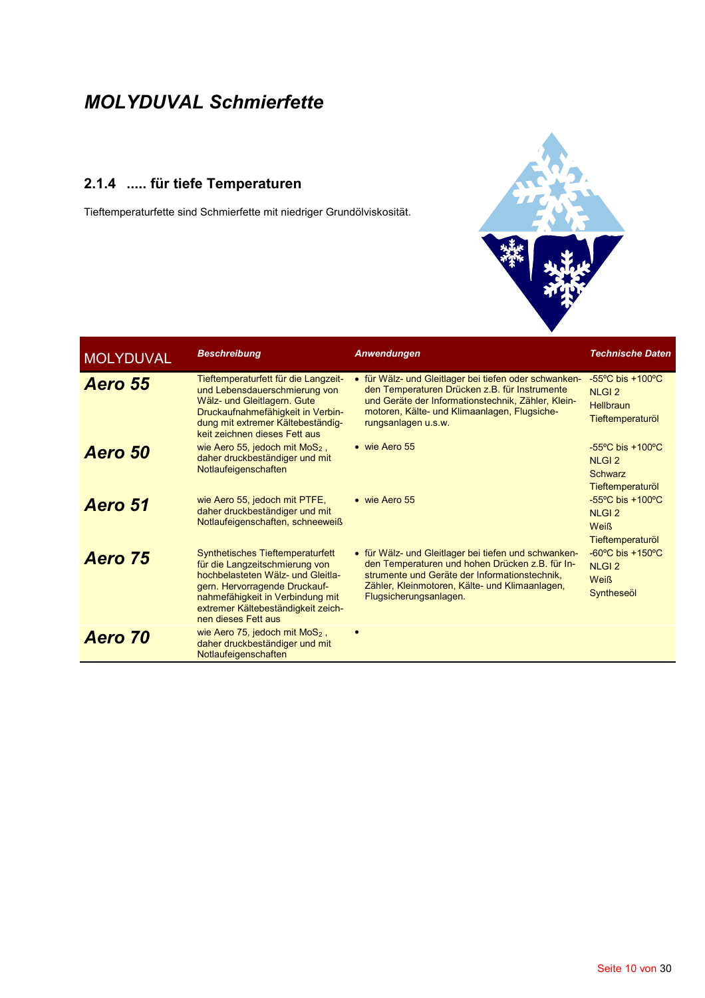#### 2.1.4 ..... für tiefe Temperaturen

Tieftemperaturfette sind Schmierfette mit niedriger Grundölviskosität.



| <b>MOLYDUVAL</b> | <b>Beschreibung</b>                                                                                                                                                                                                                              | Anwendungen                                                                                                                                                                                                                          | <b>Technische Daten</b>                                                                      |
|------------------|--------------------------------------------------------------------------------------------------------------------------------------------------------------------------------------------------------------------------------------------------|--------------------------------------------------------------------------------------------------------------------------------------------------------------------------------------------------------------------------------------|----------------------------------------------------------------------------------------------|
| Aero 55          | Tieftemperaturfett für die Langzeit-<br>und Lebensdauerschmierung von<br>Wälz- und Gleitlagern. Gute<br>Druckaufnahmefähigkeit in Verbin-<br>dung mit extremer Kältebeständig-<br>keit zeichnen dieses Fett aus                                  | • für Wälz- und Gleitlager bei tiefen oder schwanken-<br>den Temperaturen Drücken z.B. für Instrumente<br>und Geräte der Informationstechnik, Zähler, Klein-<br>motoren, Kälte- und Klimaanlagen, Flugsiche-<br>rungsanlagen u.s.w.  | $-55^{\circ}$ C bis $+100^{\circ}$ C<br><b>NLGI2</b><br><b>Hellbraun</b><br>Tieftemperaturöl |
| Aero 50          | wie Aero 55, jedoch mit $MoS2$ ,<br>daher druckbeständiger und mit<br>Notlaufeigenschaften                                                                                                                                                       | • wie Aero 55                                                                                                                                                                                                                        | $-55^{\circ}$ C bis $+100^{\circ}$ C<br><b>NLGI2</b><br>Schwarz<br>Tieftemperaturöl          |
| Aero 51          | wie Aero 55, jedoch mit PTFE,<br>daher druckbeständiger und mit<br>Notlaufeigenschaften, schneeweiß                                                                                                                                              | • wie Aero 55                                                                                                                                                                                                                        | $-55^{\circ}$ C bis +100 $^{\circ}$ C<br><b>NLGI2</b><br><b>Weiß</b><br>Tieftemperaturöl     |
| Aero 75          | <b>Synthetisches Tieftemperaturfett</b><br>für die Langzeitschmierung von<br>hochbelasteten Wälz- und Gleitla-<br>gern. Hervorragende Druckauf-<br>nahmefähigkeit in Verbindung mit<br>extremer Kältebeständigkeit zeich-<br>nen dieses Fett aus | • für Wälz- und Gleitlager bei tiefen und schwanken-<br>den Temperaturen und hohen Drücken z.B. für In-<br>strumente und Geräte der Informationstechnik.<br>Zähler, Kleinmotoren, Kälte- und Klimaanlagen,<br>Flugsicherungsanlagen. | $-60^{\circ}$ C bis $+150^{\circ}$ C<br><b>NLGI2</b><br><b>Weiß</b><br>Syntheseöl            |
| Aero 70          | wie Aero 75, jedoch mit $MoS2$ ,<br>daher druckbeständiger und mit<br>Notlaufeigenschaften                                                                                                                                                       |                                                                                                                                                                                                                                      |                                                                                              |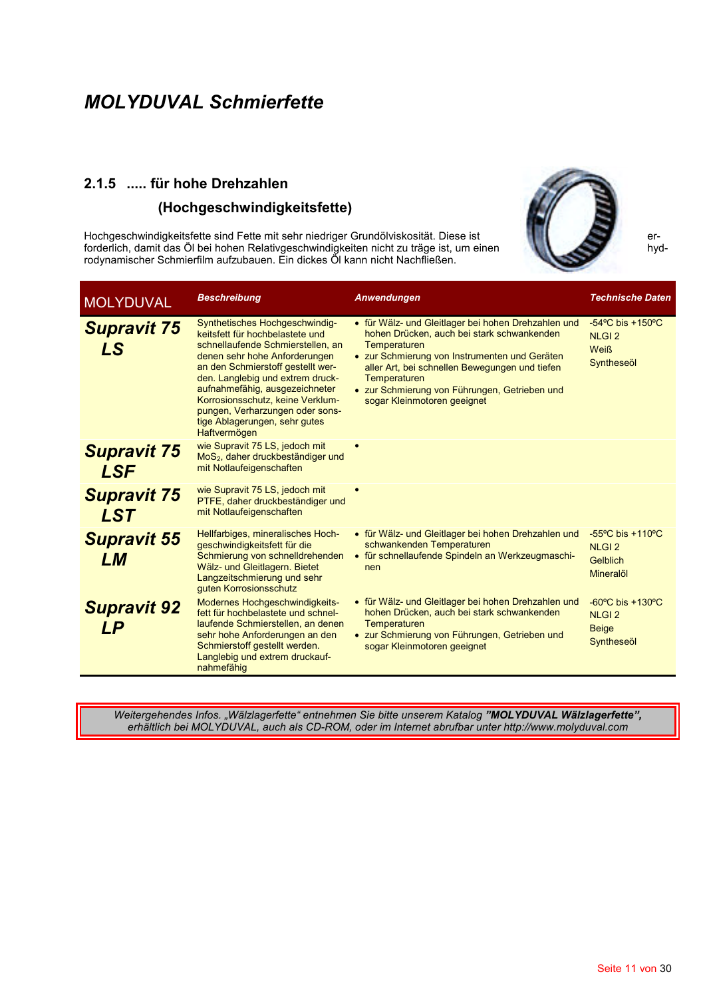# 2.1.5 ..... für hohe Drehzahlen

#### (Hochgeschwindigkeitsfette)

Hochgeschwindigkeitsfette sind Fette mit sehr niedriger Grundölviskosität. Diese ist forderlich, damit das Öl bei hohen Relativgeschwindigkeiten nicht zu träge ist, um einen rodynamischer Schmierfilm aufzubauen. Ein dickes OI kann nicht Nachfließen.



erhyd-

| <b>MOLYDUVAL</b>                 | <b>Beschreibung</b>                                                                                                                                                                                                                                                                                                                                                        | <b>Anwendungen</b>                                                                                                                                                                                                                                                                                                   | <b>Technische Daten</b>                                                            |
|----------------------------------|----------------------------------------------------------------------------------------------------------------------------------------------------------------------------------------------------------------------------------------------------------------------------------------------------------------------------------------------------------------------------|----------------------------------------------------------------------------------------------------------------------------------------------------------------------------------------------------------------------------------------------------------------------------------------------------------------------|------------------------------------------------------------------------------------|
| <b>Supravit 75</b><br>LS         | Synthetisches Hochgeschwindig-<br>keitsfett für hochbelastete und<br>schnellaufende Schmierstellen, an<br>denen sehr hohe Anforderungen<br>an den Schmierstoff gestellt wer-<br>den. Langlebig und extrem druck-<br>aufnahmefähig, ausgezeichneter<br>Korrosionsschutz, keine Verklum-<br>pungen, Verharzungen oder sons-<br>tige Ablagerungen, sehr gutes<br>Haftvermögen | • für Wälz- und Gleitlager bei hohen Drehzahlen und<br>hohen Drücken, auch bei stark schwankenden<br>Temperaturen<br>• zur Schmierung von Instrumenten und Geräten<br>aller Art, bei schnellen Bewegungen und tiefen<br>Temperaturen<br>• zur Schmierung von Führungen, Getrieben und<br>sogar Kleinmotoren geeignet | $-54^{\circ}$ C bis $+150^{\circ}$ C<br><b>NLGI2</b><br><b>Weiß</b><br>Syntheseöl  |
| <b>Supravit 75</b><br><b>LSF</b> | wie Supravit 75 LS, jedoch mit<br>MoS <sub>2</sub> , daher druckbeständiger und<br>mit Notlaufeigenschaften                                                                                                                                                                                                                                                                |                                                                                                                                                                                                                                                                                                                      |                                                                                    |
| <b>Supravit 75</b><br><b>LST</b> | wie Supravit 75 LS, jedoch mit<br>PTFE, daher druckbeständiger und<br>mit Notlaufeigenschaften                                                                                                                                                                                                                                                                             |                                                                                                                                                                                                                                                                                                                      |                                                                                    |
| <b>Supravit 55</b><br>LМ         | Hellfarbiges, mineralisches Hoch-<br>geschwindigkeitsfett für die<br>Schmierung von schnelldrehenden<br>Wälz- und Gleitlagern. Bietet<br>Langzeitschmierung und sehr<br>guten Korrosionsschutz                                                                                                                                                                             | • für Wälz- und Gleitlager bei hohen Drehzahlen und<br>schwankenden Temperaturen<br>• für schnellaufende Spindeln an Werkzeugmaschi-<br>nen                                                                                                                                                                          | $-55^{\circ}$ C bis $+110^{\circ}$ C<br><b>NLGI2</b><br>Gelblich<br>Mineralöl      |
| <b>Supravit 92</b><br>LP         | Modernes Hochgeschwindigkeits-<br>fett für hochbelastete und schnel-<br>laufende Schmierstellen, an denen<br>sehr hohe Anforderungen an den<br>Schmierstoff gestellt werden.<br>Langlebig und extrem druckauf-<br>nahmefähig                                                                                                                                               | • für Wälz- und Gleitlager bei hohen Drehzahlen und<br>hohen Drücken, auch bei stark schwankenden<br>Temperaturen<br>• zur Schmierung von Führungen, Getrieben und<br>sogar Kleinmotoren geeignet                                                                                                                    | $-60^{\circ}$ C bis $+130^{\circ}$ C<br><b>NLGI2</b><br><b>Beige</b><br>Syntheseöl |

Weitergehendes Infos. "Wälzlagerfette" entnehmen Sie bitte unserem Katalog "MOLYDUVAL Wälzlagerfette", erhältlich bei MOLYDUVAL, auch als CD-ROM, oder im Internet abrufbar unter http://www.molyduval.com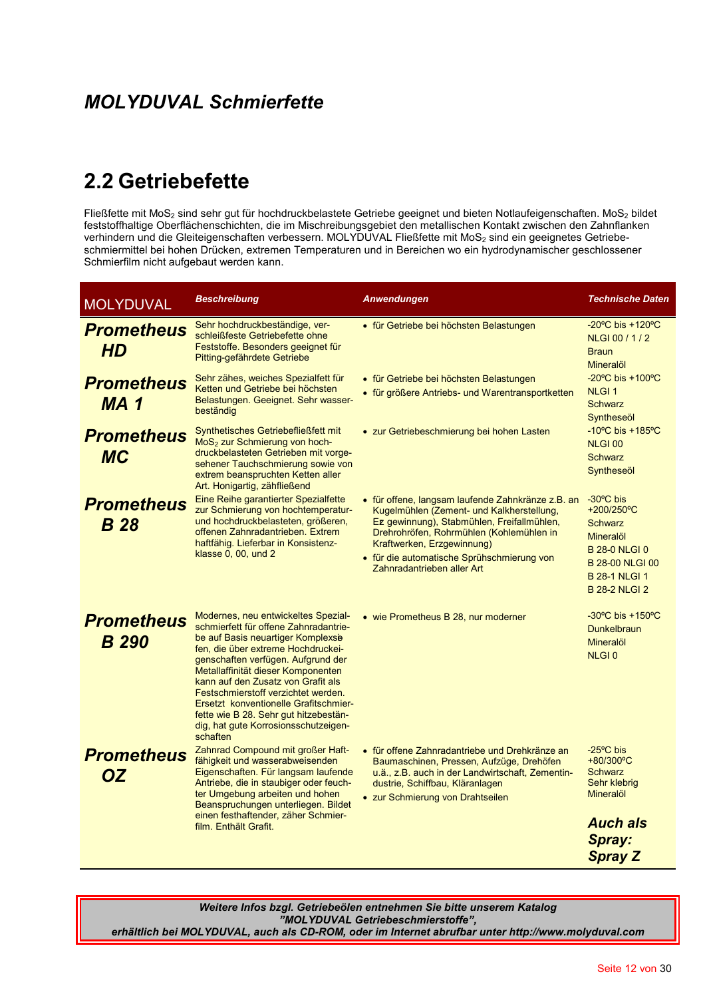## 2.2 Getriebefette

Fließfette mit MoS<sub>2</sub> sind sehr gut für hochdruckbelastete Getriebe geeignet und bieten Notlaufeigenschaften. MoS<sub>2</sub> bildet feststoffhaltige Oberflächenschichten, die im Mischreibungsgebiet den metallischen Kontakt zwische verhindern und die Gleiteigenschaften verbessern. MOLYDUVAL Fließfette mit MoS2 sind ein geeignetes Getriebeschmiermittel bei hohen Drücken, extremen Temperaturen und in Bereichen wo ein hydrodynamischer geschlossener Schmierfilm nicht aufgebaut werden kann.

| <b>MOLYDUVAL</b>                  | <b>Beschreibung</b>                                                                                                                                                                                                                                                                                                                                                                                                                                    | <b>Anwendungen</b>                                                                                                                                                                                                                                                                                 | <b>Technische Daten</b>                                                                                                                                            |
|-----------------------------------|--------------------------------------------------------------------------------------------------------------------------------------------------------------------------------------------------------------------------------------------------------------------------------------------------------------------------------------------------------------------------------------------------------------------------------------------------------|----------------------------------------------------------------------------------------------------------------------------------------------------------------------------------------------------------------------------------------------------------------------------------------------------|--------------------------------------------------------------------------------------------------------------------------------------------------------------------|
| <b>Prometheus</b><br><b>HD</b>    | Sehr hochdruckbeständige, ver-<br>schleißfeste Getriebefette ohne<br>Feststoffe. Besonders geeignet für<br>Pitting-gefährdete Getriebe                                                                                                                                                                                                                                                                                                                 | • für Getriebe bei höchsten Belastungen                                                                                                                                                                                                                                                            | $-20^{\circ}$ C bis +120 $^{\circ}$ C<br>NLGI 00 / 1 / 2<br><b>Braun</b><br>Mineralöl                                                                              |
| <b>Prometheus</b><br><b>MA1</b>   | Sehr zähes, weiches Spezialfett für<br>Ketten und Getriebe bei höchsten<br>Belastungen. Geeignet. Sehr wasser-<br>beständig                                                                                                                                                                                                                                                                                                                            | • für Getriebe bei höchsten Belastungen<br>• für größere Antriebs- und Warentransportketten                                                                                                                                                                                                        | $-20^{\circ}$ C bis $+100^{\circ}$ C<br><b>NLGI1</b><br><b>Schwarz</b><br>Syntheseöl                                                                               |
| <b>Prometheus</b><br><b>MC</b>    | Synthetisches Getriebefließfett mit<br>MoS <sub>2</sub> zur Schmierung von hoch-<br>druckbelasteten Getrieben mit vorge-<br>sehener Tauchschmierung sowie von<br>extrem beanspruchten Ketten aller<br>Art. Honigartig, zähfließend                                                                                                                                                                                                                     | • zur Getriebeschmierung bei hohen Lasten                                                                                                                                                                                                                                                          | $-10^{\circ}$ C bis $+185^{\circ}$ C<br><b>NLGI 00</b><br><b>Schwarz</b><br>Syntheseöl                                                                             |
| <b>Prometheus</b><br><b>B</b> 28  | Eine Reihe garantierter Spezialfette<br>zur Schmierung von hochtemperatur-<br>und hochdruckbelasteten, größeren,<br>offenen Zahnradantrieben. Extrem<br>haftfähig. Lieferbar in Konsistenz-<br>klasse 0, 00, und 2                                                                                                                                                                                                                                     | • für offene, langsam laufende Zahnkränze z.B. an<br>Kugelmühlen (Zement- und Kalkherstellung,<br>Ez gewinnung), Stabmühlen, Freifallmühlen,<br>Drehrohröfen, Rohrmühlen (Kohlemühlen in<br>Kraftwerken, Erzgewinnung)<br>· für die automatische Sprühschmierung von<br>Zahnradantrieben aller Art | $-30^{\circ}$ C bis<br>+200/250°C<br><b>Schwarz</b><br>Mineralöl<br><b>B 28-0 NLGI 0</b><br><b>B 28-00 NLGI 00</b><br><b>B 28-1 NLGI 1</b><br><b>B 28-2 NLGI 2</b> |
| <b>Prometheus</b><br><b>B</b> 290 | Modernes, neu entwickeltes Spezial-<br>schmierfett für offene Zahnradantrie-<br>be auf Basis neuartiger Komplexse<br>fen, die über extreme Hochdruckei-<br>genschaften verfügen. Aufgrund der<br>Metallaffinität dieser Komponenten<br>kann auf den Zusatz von Grafit als<br>Festschmierstoff verzichtet werden.<br>Ersetzt konventionelle Grafitschmier-<br>fette wie B 28. Sehr gut hitzebestän-<br>dig, hat gute Korrosionsschutzeigen-<br>schaften | • wie Prometheus B 28, nur moderner                                                                                                                                                                                                                                                                | $-30^{\circ}$ C bis $+150^{\circ}$ C<br>Dunkelbraun<br><b>Mineralöl</b><br><b>NLGI0</b>                                                                            |
| <b>Prometheus</b><br><b>OZ</b>    | Zahnrad Compound mit großer Haft-<br>fähigkeit und wasserabweisenden<br>Eigenschaften. Für langsam laufende<br>Antriebe, die in staubiger oder feuch-<br>ter Umgebung arbeiten und hohen<br>Beanspruchungen unterliegen. Bildet<br>einen festhaftender, zäher Schmier-<br>film. Enthält Grafit.                                                                                                                                                        | • für offene Zahnradantriebe und Drehkränze an<br>Baumaschinen, Pressen, Aufzüge, Drehöfen<br>u.ä., z.B. auch in der Landwirtschaft, Zementin-<br>dustrie, Schiffbau, Kläranlagen<br>• zur Schmierung von Drahtseilen                                                                              | $-25^{\circ}$ C bis<br>+80/300°C<br><b>Schwarz</b><br>Sehr klebrig<br><b>Mineralöl</b><br><b>Auch als</b><br>Spray:<br><b>Spray Z</b>                              |

Weitere Infos bzgl. Getriebeölen entnehmen Sie bitte unserem Katalog "MOLYDUVAL Getriebeschmierstoffe", erhältlich bei MOLYDUVAL, auch als CD-ROM, oder im Internet abrufbar unter http://www.molyduval.com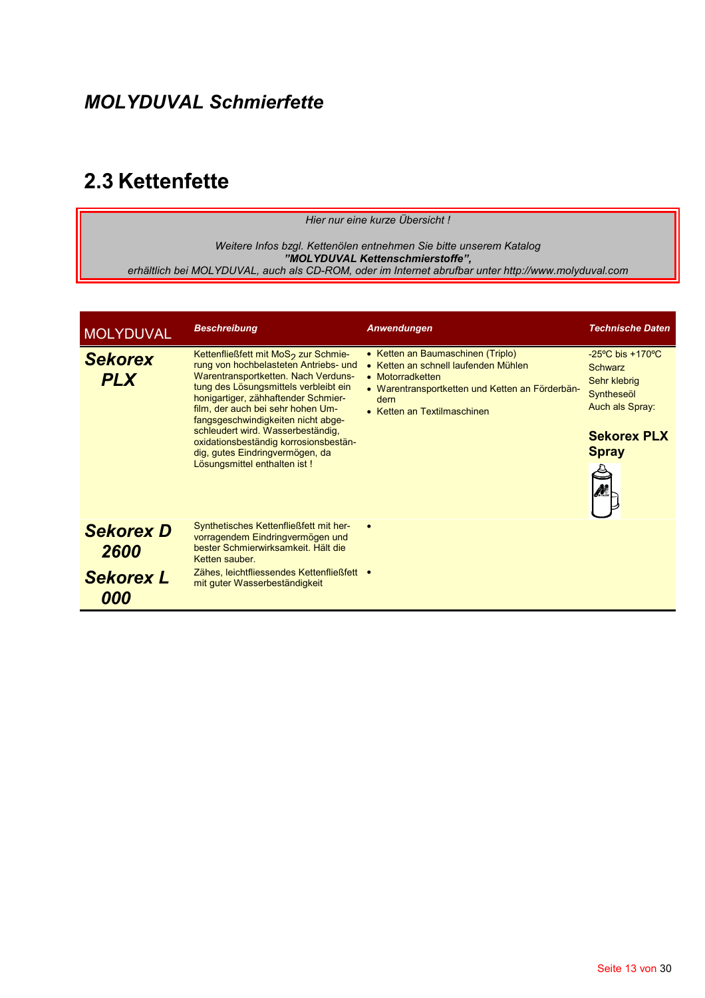## 2.3 Kettenfette

Hier nur eine kurze Übersicht!

Weitere Infos bzgl. Kettenölen entnehmen Sie bitte unserem Katalog wencre muss bzg. Renender eminement sie bite unserem Ratalog<br>"MOLYDUVAL Kettenschmierstoffe",<br>erhältlich bei MOLYDUVAL, auch als CD-ROM, oder im Internet abrufbar unter http://www.molyduval.com

| <b>MOLYDUVAL</b>             | <b>Beschreibung</b>                                                                                                                                                                                                                                                                                                                                                                                                                          | Anwendungen                                                                                                                                                                             | <b>Technische Daten</b>                                                                                                                |
|------------------------------|----------------------------------------------------------------------------------------------------------------------------------------------------------------------------------------------------------------------------------------------------------------------------------------------------------------------------------------------------------------------------------------------------------------------------------------------|-----------------------------------------------------------------------------------------------------------------------------------------------------------------------------------------|----------------------------------------------------------------------------------------------------------------------------------------|
| <b>Sekorex</b><br><b>PLX</b> | Kettenfließfett mit MoS <sub>2</sub> zur Schmie-<br>rung von hochbelasteten Antriebs- und<br>Warentransportketten. Nach Verduns-<br>tung des Lösungsmittels verbleibt ein<br>honigartiger, zähhaftender Schmier-<br>film, der auch bei sehr hohen Um-<br>fangsgeschwindigkeiten nicht abge-<br>schleudert wird. Wasserbeständig,<br>oxidationsbeständig korrosionsbestän-<br>dig, gutes Eindringvermögen, da<br>Lösungsmittel enthalten ist! | • Ketten an Baumaschinen (Triplo)<br>• Ketten an schnell laufenden Mühlen<br>• Motorradketten<br>• Warentransportketten und Ketten an Förderbän-<br>dern<br>• Ketten an Textilmaschinen | $-25^{\circ}$ C bis $+170^{\circ}$ C<br>Schwarz<br>Sehr klebrig<br>Syntheseöl<br>Auch als Spray:<br><b>Sekorex PLX</b><br><b>Spray</b> |
| <b>Sekorex D</b><br>2600     | Synthetisches Kettenfließfett mit her-<br>vorragendem Eindringvermögen und<br>bester Schmierwirksamkeit. Hält die<br>Ketten sauber.                                                                                                                                                                                                                                                                                                          |                                                                                                                                                                                         |                                                                                                                                        |
| <b>Sekorex L</b>             | Zähes, leichtfliessendes Kettenfließfett •<br>mit guter Wasserbeständigkeit                                                                                                                                                                                                                                                                                                                                                                  |                                                                                                                                                                                         |                                                                                                                                        |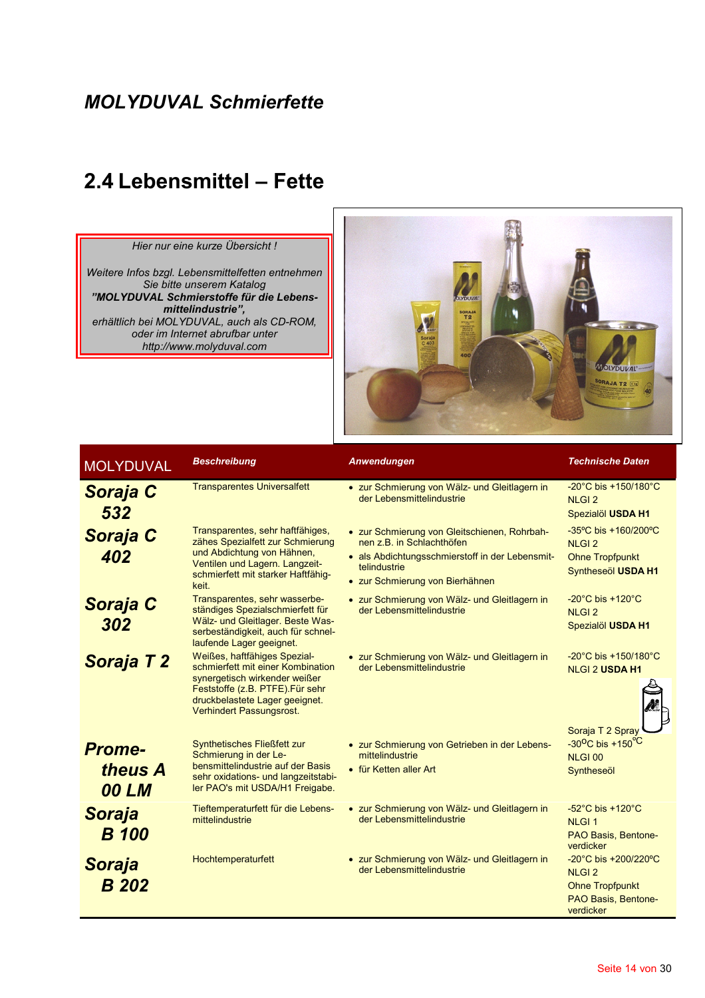## 2.4 Lebensmittel - Fette

#### Hier nur eine kurze Übersicht!

Weitere Infos bzgl. Lebensmittelfetten entnehmen Sie bitte unserem Katalog "MOLYDUVAL Schmierstoffe für die Lebensmittelindustrie",<br>erhältlich bei MOLYDUVAL, auch als CD-ROM, oder im Internet abrufbar unter http://www.molyduval.com



| <b>MOLYDUVAL</b>                         | <b>Beschreibung</b>                                                                                                                                                                                  | Anwendungen                                                                                                                                                                     | <b>Technische Daten</b>                                                                                                |
|------------------------------------------|------------------------------------------------------------------------------------------------------------------------------------------------------------------------------------------------------|---------------------------------------------------------------------------------------------------------------------------------------------------------------------------------|------------------------------------------------------------------------------------------------------------------------|
| Soraja C<br>532                          | <b>Transparentes Universalfett</b>                                                                                                                                                                   | • zur Schmierung von Wälz- und Gleitlagern in<br>der Lebensmittelindustrie                                                                                                      | -20°C bis +150/180°C<br><b>NLGI2</b><br>Spezialöl USDA H1                                                              |
| <b>Soraja C</b><br>402                   | Transparentes, sehr haftfähiges,<br>zähes Spezialfett zur Schmierung<br>und Abdichtung von Hähnen,<br>Ventilen und Lagern. Langzeit-<br>schmierfett mit starker Haftfähig-<br>keit.                  | • zur Schmierung von Gleitschienen, Rohrbah-<br>nen z.B. in Schlachthöfen<br>• als Abdichtungsschmierstoff in der Lebensmit-<br>telindustrie<br>• zur Schmierung von Bierhähnen | -35°C bis +160/200°C<br><b>NLGI2</b><br><b>Ohne Tropfpunkt</b><br>Syntheseöl USDA H1                                   |
| <b>Soraja C</b><br>302                   | Transparentes, sehr wasserbe-<br>ständiges Spezialschmierfett für<br>Wälz- und Gleitlager. Beste Was-<br>serbeständigkeit, auch für schnel-<br>laufende Lager geeignet.                              | • zur Schmierung von Wälz- und Gleitlagern in<br>der Lebensmittelindustrie                                                                                                      | -20 $^{\circ}$ C bis +120 $^{\circ}$ C<br><b>NLGI2</b><br>Spezialöl USDA H1                                            |
| Soraja T 2                               | Weißes, haftfähiges Spezial-<br>schmierfett mit einer Kombination<br>synergetisch wirkender weißer<br>Feststoffe (z.B. PTFE). Für sehr<br>druckbelastete Lager geeignet.<br>Verhindert Passungsrost. | • zur Schmierung von Wälz- und Gleitlagern in<br>der Lebensmittelindustrie                                                                                                      | -20°C bis +150/180°C<br><b>NLGI 2 USDA H1</b>                                                                          |
| <b>Prome-</b><br>theus A<br><b>00 LM</b> | Synthetisches Fließfett zur<br>Schmierung in der Le-<br>bensmittelindustrie auf der Basis<br>sehr oxidations- und langzeitstabi-<br>ler PAO's mit USDA/H1 Freigabe.                                  | • zur Schmierung von Getrieben in der Lebens-<br>mittelindustrie<br>• für Ketten aller Art                                                                                      | Soraja T 2 Spray<br>-30 <sup>o</sup> C bis +150 <sup>°C</sup><br><b>NLGI 00</b><br>Syntheseöl                          |
| <b>Soraja</b><br><b>B</b> 100            | Tieftemperaturfett für die Lebens-<br>mittelindustrie                                                                                                                                                | • zur Schmierung von Wälz- und Gleitlagern in<br>der Lebensmittelindustrie                                                                                                      | $-52^{\circ}$ C bis +120 $^{\circ}$ C<br><b>NLGI1</b><br>PAO Basis, Bentone-<br>verdicker                              |
| Soraja<br><b>B</b> 202                   | Hochtemperaturfett                                                                                                                                                                                   | • zur Schmierung von Wälz- und Gleitlagern in<br>der Lebensmittelindustrie                                                                                                      | $-20^{\circ}$ C bis $+200/220^{\circ}$ C<br><b>NLGI2</b><br><b>Ohne Tropfpunkt</b><br>PAO Basis, Bentone-<br>verdicker |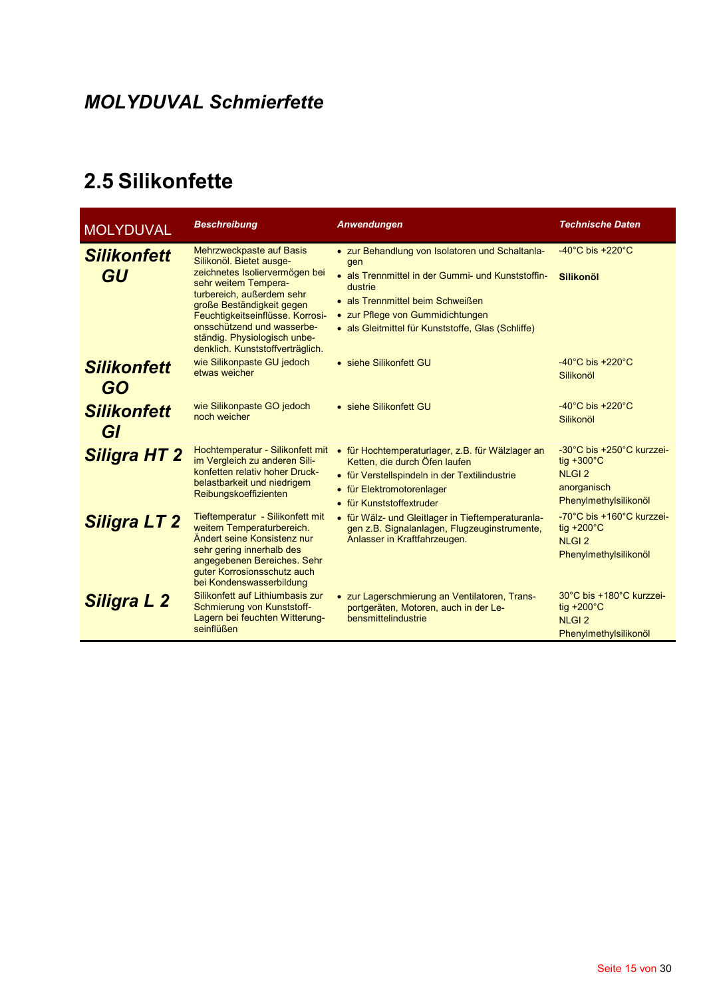## 2.5 Silikonfette

| <b>MOLYDUVAL</b>                | <b>Beschreibung</b>                                                                                                                                                                                                                                                                                            | Anwendungen                                                                                                                                                                                                                                          | <b>Technische Daten</b>                                                                                   |
|---------------------------------|----------------------------------------------------------------------------------------------------------------------------------------------------------------------------------------------------------------------------------------------------------------------------------------------------------------|------------------------------------------------------------------------------------------------------------------------------------------------------------------------------------------------------------------------------------------------------|-----------------------------------------------------------------------------------------------------------|
| <b>Silikonfett</b><br>GU        | Mehrzweckpaste auf Basis<br>Silikonöl. Bietet ausge-<br>zeichnetes Isoliervermögen bei<br>sehr weitem Tempera-<br>turbereich, außerdem sehr<br>große Beständigkeit gegen<br>Feuchtigkeitseinflüsse. Korrosi-<br>onsschützend und wasserbe-<br>ständig. Physiologisch unbe-<br>denklich. Kunststoffverträglich. | • zur Behandlung von Isolatoren und Schaltania-<br>gen<br>• als Trennmittel in der Gummi- und Kunststoffin-<br>dustrie<br>• als Trennmittel beim Schweißen<br>• zur Pflege von Gummidichtungen<br>· als Gleitmittel für Kunststoffe, Glas (Schliffe) | $-40^{\circ}$ C bis $+220^{\circ}$ C<br><b>Silikonöl</b>                                                  |
| <b>Silikonfett</b><br><b>GO</b> | wie Silikonpaste GU jedoch<br>etwas weicher                                                                                                                                                                                                                                                                    | • siehe Silikonfett GU                                                                                                                                                                                                                               | $-40^{\circ}$ C bis $+220^{\circ}$ C<br>Silikonöl                                                         |
| <b>Silikonfett</b><br>GI        | wie Silikonpaste GO jedoch<br>noch weicher                                                                                                                                                                                                                                                                     | • siehe Silikonfett GU                                                                                                                                                                                                                               | $-40^{\circ}$ C bis $+220^{\circ}$ C<br>Silikonöl                                                         |
| <b>Siligra HT 2</b>             | Hochtemperatur - Silikonfett mit<br>im Vergleich zu anderen Sili-<br>konfetten relativ hoher Druck-<br>belastbarkeit und niedrigem<br>Reibungskoeffizienten                                                                                                                                                    | • für Hochtemperaturlager, z.B. für Wälzlager an<br>Ketten, die durch Öfen laufen<br>• für Verstellspindeln in der Textilindustrie<br>• für Elektromotorenlager<br>• für Kunststoffextruder                                                          | -30°C bis +250°C kurzzei-<br>tiq $+300^{\circ}$ C<br><b>NLGI2</b><br>anorganisch<br>Phenylmethylsilikonöl |
| <b>Siligra LT 2</b>             | Tieftemperatur - Silikonfett mit<br>weitem Temperaturbereich.<br>Ändert seine Konsistenz nur<br>sehr gering innerhalb des<br>angegebenen Bereiches. Sehr<br>guter Korrosionsschutz auch<br>bei Kondenswasserbildung                                                                                            | • für Wälz- und Gleitlager in Tieftemperaturanla-<br>gen z.B. Signalanlagen, Flugzeuginstrumente,<br>Anlasser in Kraftfahrzeugen.                                                                                                                    | -70°C bis +160°C kurzzei-<br>tig $+200^{\circ}$ C<br><b>NLGI2</b><br>Phenylmethylsilikonöl                |
| <b>Siligra L 2</b>              | Silikonfett auf Lithiumbasis zur<br>Schmierung von Kunststoff-<br>Lagern bei feuchten Witterung-<br>seinflüßen                                                                                                                                                                                                 | • zur Lagerschmierung an Ventilatoren, Trans-<br>portgeräten, Motoren, auch in der Le-<br>bensmittelindustrie                                                                                                                                        | 30°C bis +180°C kurzzei-<br>tig $+200^{\circ}$ C<br><b>NLGI2</b><br>Phenylmethylsilikonöl                 |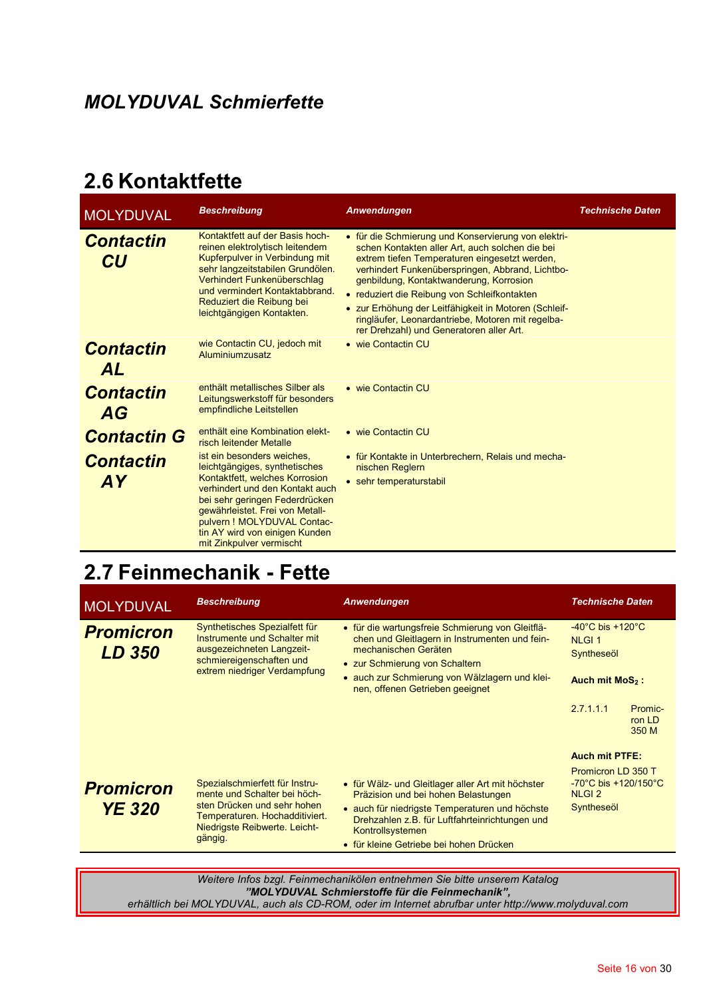### 2.6 Kontaktfette

| <b>MOLYDUVAL</b>              | <b>Beschreibung</b>                                                                                                                                                                                                                                                                                 | Anwendungen                                                                                                                                                                                                                                                                                                                                                                                                                                                      | <b>Technische Daten</b> |
|-------------------------------|-----------------------------------------------------------------------------------------------------------------------------------------------------------------------------------------------------------------------------------------------------------------------------------------------------|------------------------------------------------------------------------------------------------------------------------------------------------------------------------------------------------------------------------------------------------------------------------------------------------------------------------------------------------------------------------------------------------------------------------------------------------------------------|-------------------------|
| <b>Contactin</b><br>CU        | Kontaktfett auf der Basis hoch-<br>reinen elektrolytisch leitendem<br>Kupferpulver in Verbindung mit<br>sehr langzeitstabilen Grundölen.<br>Verhindert Funkenüberschlag<br>und vermindert Kontaktabbrand.<br>Reduziert die Reibung bei<br>leichtgängigen Kontakten.                                 | • für die Schmierung und Konservierung von elektri-<br>schen Kontakten aller Art, auch solchen die bei<br>extrem tiefen Temperaturen eingesetzt werden,<br>verhindert Funkenüberspringen, Abbrand, Lichtbo-<br>genbildung, Kontaktwanderung, Korrosion<br>• reduziert die Reibung von Schleifkontakten<br>• zur Erhöhung der Leitfähigkeit in Motoren (Schleif-<br>ringläufer, Leonardantriebe, Motoren mit regelba-<br>rer Drehzahl) und Generatoren aller Art. |                         |
| <b>Contactin</b><br><b>AL</b> | wie Contactin CU, jedoch mit<br>Aluminiumzusatz                                                                                                                                                                                                                                                     | • wie Contactin CU                                                                                                                                                                                                                                                                                                                                                                                                                                               |                         |
| <b>Contactin</b><br>AG        | enthält metallisches Silber als<br>Leitungswerkstoff für besonders<br>empfindliche Leitstellen                                                                                                                                                                                                      | • wie Contactin CU                                                                                                                                                                                                                                                                                                                                                                                                                                               |                         |
| <b>Contactin G</b>            | enthält eine Kombination elekt-<br>risch leitender Metalle                                                                                                                                                                                                                                          | • wie Contactin CU                                                                                                                                                                                                                                                                                                                                                                                                                                               |                         |
| <b>Contactin</b><br><b>AY</b> | ist ein besonders weiches.<br>leichtgängiges, synthetisches<br>Kontaktfett, welches Korrosion<br>verhindert und den Kontakt auch<br>bei sehr geringen Federdrücken<br>gewährleistet. Frei von Metall-<br>pulvern ! MOLYDUVAL Contac-<br>tin AY wird von einigen Kunden<br>mit Zinknulver vermischt. | • für Kontakte in Unterbrechern, Relais und mecha-<br>nischen Reglern<br>• sehr temperaturstabil                                                                                                                                                                                                                                                                                                                                                                 |                         |

## 2.7 Feinmechanik - Fette

| MOLYDUVAL                         | <b>Beschreibung</b>                                                                                                                                                         | Anwendungen                                                                                                                                                                                                                                                 | <b>Technische Daten</b>                                                                                                    |
|-----------------------------------|-----------------------------------------------------------------------------------------------------------------------------------------------------------------------------|-------------------------------------------------------------------------------------------------------------------------------------------------------------------------------------------------------------------------------------------------------------|----------------------------------------------------------------------------------------------------------------------------|
| <b>Promicron</b><br><b>LD 350</b> | Synthetisches Spezialfett für<br>Instrumente und Schalter mit<br>ausgezeichneten Langzeit-<br>schmiereigenschaften und<br>extrem niedriger Verdampfung                      | • für die wartungsfreie Schmierung von Gleitflä-<br>chen und Gleitlagern in Instrumenten und fein-<br>mechanischen Geräten<br>• zur Schmierung von Schaltern<br>· auch zur Schmierung von Wälzlagern und klei-<br>nen, offenen Getrieben geeignet           | $-40^{\circ}$ C bis $+120^{\circ}$ C<br><b>NLGI1</b><br>Syntheseöl<br>Auch mit MoS <sub>2</sub> :                          |
|                                   |                                                                                                                                                                             |                                                                                                                                                                                                                                                             | 2.7.1.1.1<br>Promic-<br>ron LD<br>350 M                                                                                    |
| <b>Promicron</b><br><b>YE 320</b> | Spezialschmierfett für Instru-<br>mente und Schalter bei höch-<br>sten Drücken und sehr hohen<br>Temperaturen. Hochadditiviert.<br>Niedrigste Reibwerte. Leicht-<br>gängig. | • für Wälz- und Gleitlager aller Art mit höchster<br>Präzision und bei hohen Belastungen<br>• auch für niedrigste Temperaturen und höchste<br>Drehzahlen z.B. für Luftfahrteinrichtungen und<br>Kontrollsystemen<br>• für kleine Getriebe bei hohen Drücken | <b>Auch mit PTFE:</b><br>Promicron LD 350 T<br>$-70^{\circ}$ C bis $+120/150^{\circ}$ C<br>NLGI <sub>2</sub><br>Syntheseöl |

Weitere Infos bzgl. Feinmechanikölen entnehmen Sie bitte unserem Katalog "MOLYDUVAL Schmierstoffe für die Feinmechanik", erhältlich bei MOLYDUVAL, auch als CD-ROM, oder im Internet abrufbar unter http://www.molyduval.com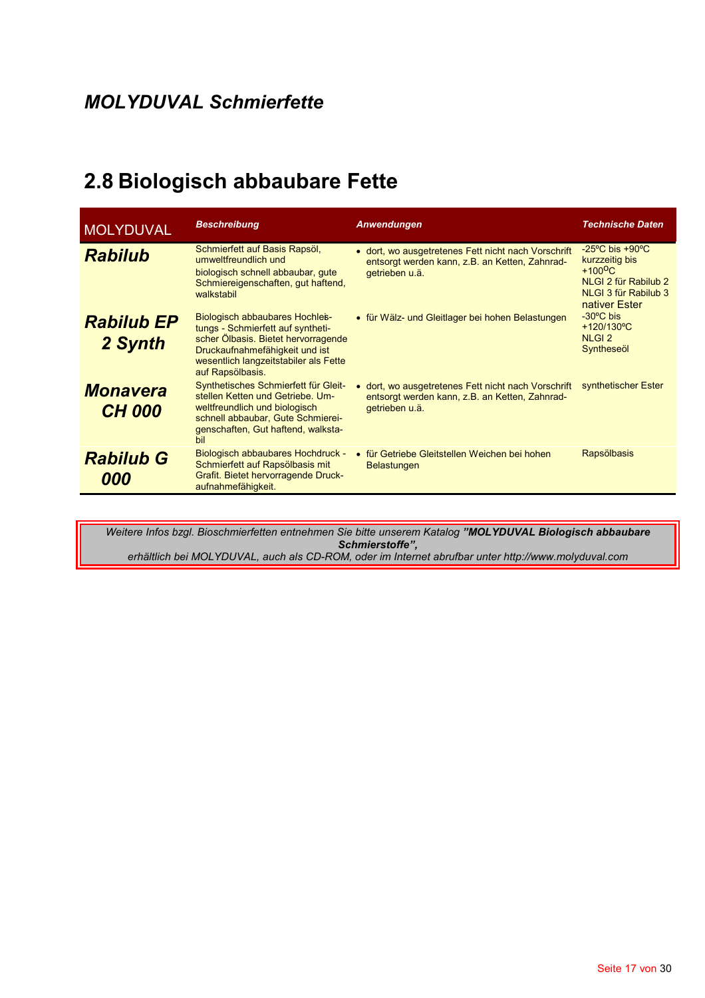## 2.8 Biologisch abbaubare Fette

| <b>MOLYDUVAL</b>                 | <b>Beschreibung</b>                                                                                                                                                                                       | <b>Anwendungen</b>                                                                                                      | <b>Technische Daten</b>                                                                                                                         |
|----------------------------------|-----------------------------------------------------------------------------------------------------------------------------------------------------------------------------------------------------------|-------------------------------------------------------------------------------------------------------------------------|-------------------------------------------------------------------------------------------------------------------------------------------------|
| <b>Rabilub</b>                   | Schmierfett auf Basis Rapsöl,<br>umweltfreundlich und<br>biologisch schnell abbaubar, qute<br>Schmiereigenschaften, gut haftend,<br>walkstabil                                                            | • dort, wo ausgetretenes Fett nicht nach Vorschrift<br>entsorgt werden kann, z.B. an Ketten, Zahnrad-<br>getrieben u.ä. | $-25^{\circ}$ C bis $+90^{\circ}$ C<br>kurzzeitig bis<br>$+100$ <sup>O</sup> C<br>NLGI 2 für Rabilub 2<br>NLGI 3 für Rabilub 3<br>nativer Ester |
| <b>Rabilub EP</b><br>2 Synth     | Biologisch abbaubares Hochles-<br>tungs - Schmierfett auf syntheti-<br>scher Ölbasis. Bietet hervorragende<br>Druckaufnahmefähigkeit und ist<br>wesentlich langzeitstabiler als Fette<br>auf Rapsölbasis. | • für Wälz- und Gleitlager bei hohen Belastungen                                                                        | $-30^{\circ}$ C bis<br>+120/130°C<br>NLGI <sub>2</sub><br>Syntheseöl                                                                            |
| <b>Monavera</b><br><b>CH 000</b> | Synthetisches Schmierfett für Gleit-<br>stellen Ketten und Getriebe. Um-<br>weltfreundlich und biologisch<br>schnell abbaubar, Gute Schmierei-<br>genschaften, Gut haftend, walksta-<br>bil               | • dort, wo ausgetretenes Fett nicht nach Vorschrift<br>entsorgt werden kann, z.B. an Ketten, Zahnrad-<br>getrieben u.ä. | synthetischer Ester                                                                                                                             |
| <b>Rabilub G</b><br>000          | Biologisch abbaubares Hochdruck -<br>Schmierfett auf Rapsölbasis mit<br>Grafit. Bietet hervorragende Druck-<br>aufnahmefähigkeit.                                                                         | • für Getriebe Gleitstellen Weichen bei hohen<br><b>Belastungen</b>                                                     | Rapsölbasis                                                                                                                                     |

Weitere Infos bzgl. Bioschmierfetten entnehmen Sie bitte unserem Katalog "MOLYDUVAL Biologisch abbaubare Schmierstoffe",<br>Schmierstoffe",<br>erhältlich bei MOLYDUVAL, auch als CD-ROM, oder im Internet abrufbar unter http://www.molyduval.com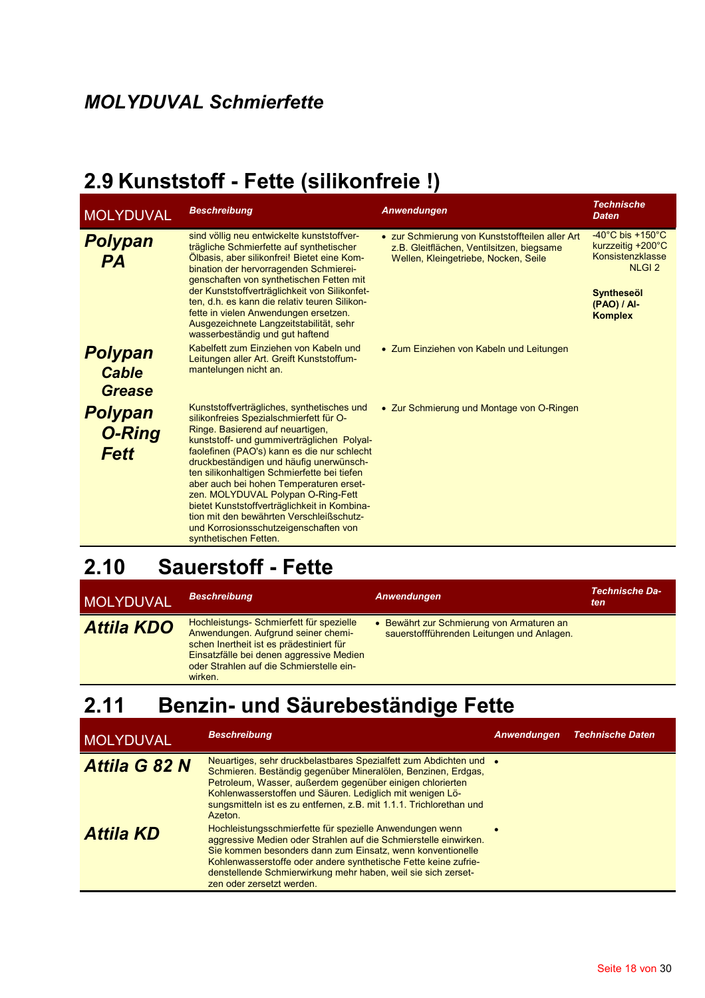## 2.9 Kunststoff - Fette (silikonfreie!)

| <b>MOLYDUVAL</b>                                | <b>Beschreibung</b>                                                                                                                                                                                                                                                                                                                                                                                                                                                                                                                                             | Anwendungen                                                                                                                          | <b>Technische</b><br><b>Daten</b>                                                                                                                          |
|-------------------------------------------------|-----------------------------------------------------------------------------------------------------------------------------------------------------------------------------------------------------------------------------------------------------------------------------------------------------------------------------------------------------------------------------------------------------------------------------------------------------------------------------------------------------------------------------------------------------------------|--------------------------------------------------------------------------------------------------------------------------------------|------------------------------------------------------------------------------------------------------------------------------------------------------------|
| <b>Polypan</b><br><b>PA</b>                     | sind völlig neu entwickelte kunststoffver-<br>trägliche Schmierfette auf synthetischer<br>Ölbasis, aber silikonfrei! Bietet eine Kom-<br>bination der hervorragenden Schmierei-<br>genschaften von synthetischen Fetten mit<br>der Kunststoffverträglichkeit von Silikonfet-<br>ten, d.h. es kann die relativ teuren Silikon-<br>fette in vielen Anwendungen ersetzen.<br>Ausgezeichnete Langzeitstabilität, sehr<br>wasserbeständig und gut haftend                                                                                                            | • zur Schmierung von Kunststoffteilen aller Art<br>z.B. Gleitflächen, Ventilsitzen, biegsame<br>Wellen, Kleingetriebe, Nocken, Seile | -40 $^{\circ}$ C bis +150 $^{\circ}$ C<br>kurzzeitig +200°C<br>Konsistenzklasse<br>NLGI <sub>2</sub><br><b>Syntheseöl</b><br>(PAO) / AI-<br><b>Komplex</b> |
| <b>Polypan</b><br><b>Cable</b><br><b>Grease</b> | Kabelfett zum Einziehen von Kabeln und<br>Leitungen aller Art. Greift Kunststoffum-<br>mantelungen nicht an.                                                                                                                                                                                                                                                                                                                                                                                                                                                    | • Zum Einziehen von Kabeln und Leitungen                                                                                             |                                                                                                                                                            |
| <b>Polypan</b><br><b>O-Ring</b><br><b>Fett</b>  | Kunststoffverträgliches, synthetisches und<br>silikonfreies Spezialschmierfett für O-<br>Ringe. Basierend auf neuartigen,<br>kunststoff- und gummiverträglichen Polyal-<br>faolefinen (PAO's) kann es die nur schlecht<br>druckbeständigen und häufig unerwünsch-<br>ten silikonhaltigen Schmierfette bei tiefen<br>aber auch bei hohen Temperaturen erset-<br>zen. MOLYDUVAL Polypan O-Ring-Fett<br>bietet Kunststoffverträglichkeit in Kombina-<br>tion mit den bewährten Verschleißschutz-<br>und Korrosionsschutzeigenschaften von<br>synthetischen Fetten. | • Zur Schmierung und Montage von O-Ringen                                                                                            |                                                                                                                                                            |

## 2.10 Sauerstoff - Fette

| <b>MOLYDUVAL</b>  | <b>Beschreibung</b>                                                                                                                                                                                                            | Anwendungen                                                                           | Technische Da-<br>ten |
|-------------------|--------------------------------------------------------------------------------------------------------------------------------------------------------------------------------------------------------------------------------|---------------------------------------------------------------------------------------|-----------------------|
| <b>Attila KDO</b> | Hochleistungs- Schmierfett für spezielle<br>Anwendungen. Aufgrund seiner chemi-<br>schen Inertheit ist es prädestiniert für<br>Einsatzfälle bei denen aggressive Medien<br>oder Strahlen auf die Schmierstelle ein-<br>wirken. | Bewährt zur Schmierung von Armaturen an<br>sauerstoffführenden Leitungen und Anlagen. |                       |

#### Benzin- und Säurebeständige Fette  $2.11$

| MOLYDUVAL            | <b>Beschreibung</b>                                                                                                                                                                                                                                                                                                                                         | Anwendungen | <b>Technische Daten</b> |
|----------------------|-------------------------------------------------------------------------------------------------------------------------------------------------------------------------------------------------------------------------------------------------------------------------------------------------------------------------------------------------------------|-------------|-------------------------|
| <b>Attila G 82 N</b> | Neuartiges, sehr druckbelastbares Spezialfett zum Abdichten und •<br>Schmieren. Beständig gegenüber Mineralölen, Benzinen, Erdgas,<br>Petroleum, Wasser, außerdem gegenüber einigen chlorierten<br>Kohlenwasserstoffen und Säuren. Lediglich mit wenigen Lö-<br>sungsmitteln ist es zu entfernen, z.B. mit 1.1.1. Trichlorethan und<br>Azeton.              |             |                         |
| <b>Attila KD</b>     | Hochleistungsschmierfette für spezielle Anwendungen wenn<br>aggressive Medien oder Strahlen auf die Schmierstelle einwirken.<br>Sie kommen besonders dann zum Einsatz, wenn konventionelle<br>Kohlenwasserstoffe oder andere synthetische Fette keine zufrie-<br>denstellende Schmierwirkung mehr haben, weil sie sich zerset-<br>zen oder zersetzt werden. |             |                         |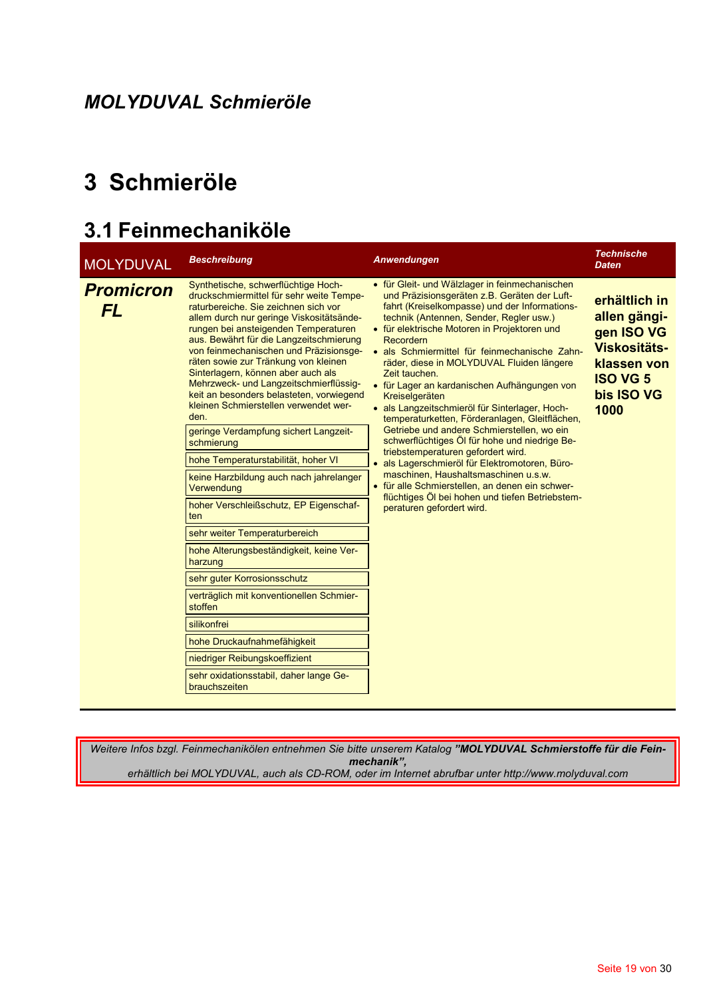## 3 Schmieröle

## 3.1 Feinmechaniköle

| <b>MOLYDUVAL</b>              | <b>Beschreibung</b>                                                                                                                                                                                                                                                                                                                                                                                                                                                                                                                                                                                                                                                                                                                                                                                                                                                                                                                                                                                                                                  | Anwendungen                                                                                                                                                                                                                                                                                                                                                                                                                                                                                                                                                                                                                                                                                                                                                                                                                                                                                                    | <b>Technische</b><br><b>Daten</b>                                                                                   |
|-------------------------------|------------------------------------------------------------------------------------------------------------------------------------------------------------------------------------------------------------------------------------------------------------------------------------------------------------------------------------------------------------------------------------------------------------------------------------------------------------------------------------------------------------------------------------------------------------------------------------------------------------------------------------------------------------------------------------------------------------------------------------------------------------------------------------------------------------------------------------------------------------------------------------------------------------------------------------------------------------------------------------------------------------------------------------------------------|----------------------------------------------------------------------------------------------------------------------------------------------------------------------------------------------------------------------------------------------------------------------------------------------------------------------------------------------------------------------------------------------------------------------------------------------------------------------------------------------------------------------------------------------------------------------------------------------------------------------------------------------------------------------------------------------------------------------------------------------------------------------------------------------------------------------------------------------------------------------------------------------------------------|---------------------------------------------------------------------------------------------------------------------|
| <b>Promicron</b><br><b>FL</b> | Synthetische, schwerflüchtige Hoch-<br>druckschmiermittel für sehr weite Tempe-<br>raturbereiche. Sie zeichnen sich vor<br>allem durch nur geringe Viskositätsände-<br>rungen bei ansteigenden Temperaturen<br>aus. Bewährt für die Langzeitschmierung<br>von feinmechanischen und Präzisionsge-<br>räten sowie zur Tränkung von kleinen<br>Sinterlagern, können aber auch als<br>Mehrzweck- und Langzeitschmierflüssig-<br>keit an besonders belasteten, vorwiegend<br>kleinen Schmierstellen verwendet wer-<br>den.<br>geringe Verdampfung sichert Langzeit-<br>schmierung<br>hohe Temperaturstabilität, hoher VI<br>keine Harzbildung auch nach jahrelanger<br>Verwendung<br>hoher Verschleißschutz, EP Eigenschaf-<br>ten<br>sehr weiter Temperaturbereich<br>hohe Alterungsbeständigkeit, keine Ver-<br>harzung<br>sehr guter Korrosionsschutz<br>verträglich mit konventionellen Schmier-<br>stoffen<br>silikonfrei<br>hohe Druckaufnahmefähigkeit<br>niedriger Reibungskoeffizient<br>sehr oxidationsstabil, daher lange Ge-<br>brauchszeiten | • für Gleit- und Wälzlager in feinmechanischen<br>und Präzisionsgeräten z.B. Geräten der Luft-<br>fahrt (Kreiselkompasse) und der Informations-<br>technik (Antennen, Sender, Regler usw.)<br>• für elektrische Motoren in Projektoren und<br>Recordern<br>· als Schmiermittel für feinmechanische Zahn-<br>räder, diese in MOLYDUVAL Fluiden längere<br>Zeit tauchen.<br>• für Lager an kardanischen Aufhängungen von<br>Kreiselgeräten<br>· als Langzeitschmieröl für Sinterlager, Hoch-<br>temperaturketten, Förderanlagen, Gleitflächen,<br>Getriebe und andere Schmierstellen, wo ein<br>schwerflüchtiges Öl für hohe und niedrige Be-<br>triebstemperaturen gefordert wird.<br>· als Lagerschmieröl für Elektromotoren, Büro-<br>maschinen, Haushaltsmaschinen u.s.w.<br>• für alle Schmierstellen, an denen ein schwer-<br>flüchtiges Öl bei hohen und tiefen Betriebstem-<br>peraturen gefordert wird. | erhältlich in<br>allen gängi-<br>gen ISO VG<br>Viskositäts-<br>klassen von<br><b>ISO VG 5</b><br>bis ISO VG<br>1000 |
|                               |                                                                                                                                                                                                                                                                                                                                                                                                                                                                                                                                                                                                                                                                                                                                                                                                                                                                                                                                                                                                                                                      |                                                                                                                                                                                                                                                                                                                                                                                                                                                                                                                                                                                                                                                                                                                                                                                                                                                                                                                |                                                                                                                     |

Weitere Infos bzgl. Feinmechanikölen entnehmen Sie bitte unserem Katalog "MOLYDUVAL Schmierstoffe für die Feinmechanik", erhältlich bei MOLYDUVAL, auch als CD-ROM, oder im Internet abrufbar unter http://www.molyduval.com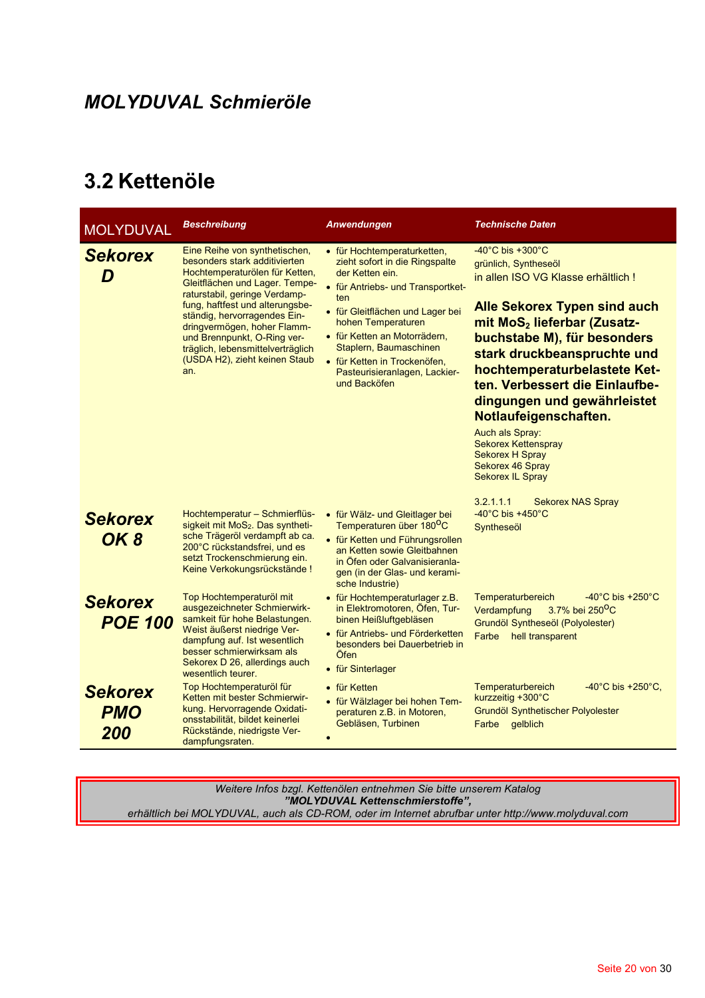## 3.2 Kettenöle

| <b>MOLYDUVAL</b>                    | Beschreibung                                                                                                                                                                                                                                                                                                                                                                      | Anwendungen                                                                                                                                                                                                                                                                                                                       | <b>Technische Daten</b>                                                                                                                                                                                                                                                                                                                                                                                                                                                                                  |
|-------------------------------------|-----------------------------------------------------------------------------------------------------------------------------------------------------------------------------------------------------------------------------------------------------------------------------------------------------------------------------------------------------------------------------------|-----------------------------------------------------------------------------------------------------------------------------------------------------------------------------------------------------------------------------------------------------------------------------------------------------------------------------------|----------------------------------------------------------------------------------------------------------------------------------------------------------------------------------------------------------------------------------------------------------------------------------------------------------------------------------------------------------------------------------------------------------------------------------------------------------------------------------------------------------|
| <b>Sekorex</b>                      | Eine Reihe von synthetischen,<br>besonders stark additivierten<br>Hochtemperaturölen für Ketten,<br>Gleitflächen und Lager. Tempe-<br>raturstabil, geringe Verdamp-<br>fung, haftfest und alterungsbe-<br>ständig, hervorragendes Ein-<br>dringvermögen, hoher Flamm-<br>und Brennpunkt, O-Ring ver-<br>träglich, lebensmittelverträglich<br>(USDA H2), zieht keinen Staub<br>an. | • für Hochtemperaturketten,<br>zieht sofort in die Ringspalte<br>der Ketten ein.<br>• für Antriebs- und Transportket-<br>ten<br>• für Gleitflächen und Lager bei<br>hohen Temperaturen<br>• für Ketten an Motorrädern,<br>Staplern, Baumaschinen<br>• für Ketten in Trockenöfen,<br>Pasteurisieranlagen, Lackier-<br>und Backöfen | $-40^{\circ}$ C bis +300 $^{\circ}$ C<br>grünlich, Syntheseöl<br>in allen ISO VG Klasse erhältlich !<br><b>Alle Sekorex Typen sind auch</b><br>mit MoS <sub>2</sub> lieferbar (Zusatz-<br>buchstabe M), für besonders<br>stark druckbeanspruchte und<br>hochtemperaturbelastete Ket-<br>ten. Verbessert die Einlaufbe-<br>dingungen und gewährleistet<br>Notlaufeigenschaften.<br>Auch als Spray:<br><b>Sekorex Kettenspray</b><br><b>Sekorex H Spray</b><br>Sekorex 46 Spray<br><b>Sekorex IL Spray</b> |
| <b>Sekorex</b><br>OK <sub>8</sub>   | Hochtemperatur - Schmierflüs-<br>sigkeit mit MoS <sub>2</sub> . Das syntheti-<br>sche Trägeröl verdampft ab ca.<br>200°C rückstandsfrei, und es<br>setzt Trockenschmierung ein.<br>Keine Verkokungsrückstände!                                                                                                                                                                    | · für Wälz- und Gleitlager bei<br>Temperaturen über 180 <sup>o</sup> C<br>• für Ketten und Führungsrollen<br>an Ketten sowie Gleitbahnen<br>in Öfen oder Galvanisieranla-<br>gen (in der Glas- und kerami-<br>sche Industrie)                                                                                                     | 3.2.1.1.1<br><b>Sekorex NAS Spray</b><br>$-40^{\circ}$ C bis $+450^{\circ}$ C<br>Syntheseöl                                                                                                                                                                                                                                                                                                                                                                                                              |
| <b>Sekorex</b><br><b>POE 100</b>    | Top Hochtemperaturöl mit<br>ausgezeichneter Schmierwirk-<br>samkeit für hohe Belastungen.<br>Weist äußerst niedrige Ver-<br>dampfung auf. Ist wesentlich<br>besser schmierwirksam als<br>Sekorex D 26, allerdings auch<br>wesentlich teurer.                                                                                                                                      | • für Hochtemperaturlager z.B.<br>in Elektromotoren, Öfen, Tur-<br>binen Heißluftgebläsen<br>• für Antriebs- und Förderketten<br>besonders bei Dauerbetrieb in<br>Öfen<br>• für Sinterlager                                                                                                                                       | $-40^{\circ}$ C bis $+250^{\circ}$ C<br>Temperaturbereich<br>Verdampfung<br>3.7% bei 250 <sup>o</sup> C<br>Grundöl Syntheseöl (Polyolester)<br>Farbe<br>hell transparent                                                                                                                                                                                                                                                                                                                                 |
| <b>Sekorex</b><br><b>PMO</b><br>200 | Top Hochtemperaturöl für<br>Ketten mit bester Schmierwir-<br>kung. Hervorragende Oxidati-<br>onsstabilität, bildet keinerlei<br>Rückstände, niedrigste Ver-<br>dampfungsraten.                                                                                                                                                                                                    | • für Ketten<br>• für Wälzlager bei hohen Tem-<br>peraturen z.B. in Motoren,<br>Gebläsen, Turbinen                                                                                                                                                                                                                                | Temperaturbereich<br>$-40^{\circ}$ C bis $+250^{\circ}$ C,<br>kurzzeitig +300°C<br>Grundöl Synthetischer Polyolester<br>Farbe gelblich                                                                                                                                                                                                                                                                                                                                                                   |

Weitere Infos bzgl. Kettenölen entnehmen Sie bitte unserem Katalog<br>"MOLYDUVAL Kettenschmierstoffe",<br>erhältlich bei MOLYDUVAL, auch als CD-ROM, oder im Internet abrufbar unter http://www.molyduval.com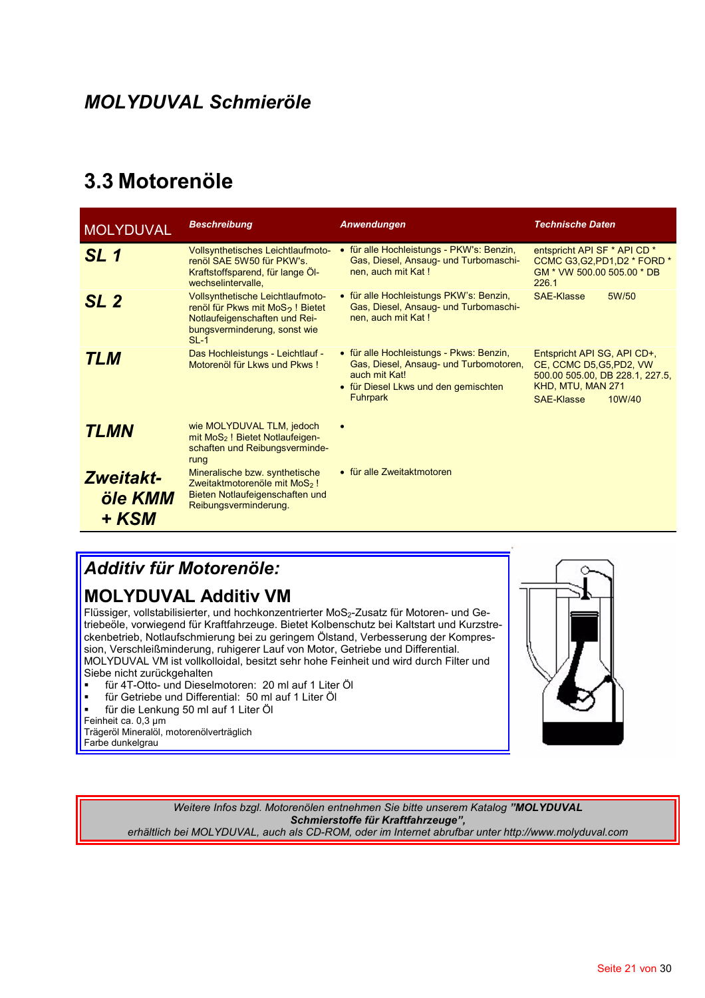### 3.3 Motorenöle

| <b>MOLYDUVAL</b>                     | <b>Beschreibung</b>                                                                                                                                         | Anwendungen                                                                                                                                                    | <b>Technische Daten</b>                                                                                                                        |
|--------------------------------------|-------------------------------------------------------------------------------------------------------------------------------------------------------------|----------------------------------------------------------------------------------------------------------------------------------------------------------------|------------------------------------------------------------------------------------------------------------------------------------------------|
| SL <sub>1</sub>                      | <b>Vollsynthetisches Leichtlaufmoto-</b><br>renöl SAE 5W50 für PKW's.<br>Kraftstoffsparend, für lange Öl-<br>wechselintervalle,                             | • für alle Hochleistungs - PKW's: Benzin,<br>Gas, Diesel, Ansaug- und Turbomaschi-<br>nen, auch mit Kat!                                                       | entspricht API SF * API CD *<br>CCMC G3, G2, PD1, D2 * FORD *<br>GM * VW 500.00 505.00 * DB<br>226.1                                           |
| SL <sub>2</sub>                      | Vollsynthetische Leichtlaufmoto-<br>renöl für Pkws mit MoS <sub>2</sub> ! Bietet<br>Notlaufeigenschaften und Rei-<br>bungsverminderung, sonst wie<br>$SL-1$ | • für alle Hochleistungs PKW's: Benzin,<br>Gas, Diesel, Ansaug- und Turbomaschi-<br>nen, auch mit Kat!                                                         | <b>SAE-Klasse</b><br>5W/50                                                                                                                     |
| <b>TLM</b>                           | Das Hochleistungs - Leichtlauf -<br>Motorenöl für Lkws und Pkws!                                                                                            | • für alle Hochleistungs - Pkws: Benzin,<br>Gas, Diesel, Ansaug- und Turbomotoren,<br>auch mit Kat!<br>• für Diesel Lkws und den gemischten<br><b>Fuhrpark</b> | Entspricht API SG, API CD+,<br>CE, CCMC D5, G5, PD2, VW<br>500.00 505.00, DB 228.1, 227.5,<br>KHD, MTU, MAN 271<br><b>SAE-Klasse</b><br>10W/40 |
| <b>TLMN</b>                          | wie MOLYDUVAL TLM, jedoch<br>mit MoS <sub>2</sub> ! Bietet Notlaufeigen-<br>schaften und Reibungsverminde-<br>rung                                          |                                                                                                                                                                |                                                                                                                                                |
| <b>Zweitakt-</b><br>öle KMM<br>+ KSM | Mineralische bzw. synthetische<br>Zweitaktmotorenöle mit MoS <sub>2</sub> !<br>Bieten Notlaufeigenschaften und<br>Reibungsverminderung.                     | • für alle Zweitaktmotoren                                                                                                                                     |                                                                                                                                                |

### **Additiv für Motorenöle:**

#### **MOLYDUVAL Additiv VM**

Flüssiger, vollstabilisierter, und hochkonzentrierter MoS2-Zusatz für Motoren- und Getriebeöle, vorwiegend für Kraftfahrzeuge. Bietet Kolbenschutz bei Kaltstart und Kurzstreckenbetrieb, Notlaufschmierung bei zu geringem Ölstand, Verbesserung der Kompression, Verschleißminderung, ruhigerer Lauf von Motor, Getriebe und Differential. MOLYDUVAL VM ist vollkolloidal, besitzt sehr hohe Feinheit und wird durch Filter und Siebe nicht zurückgehalten

- für 4T-Otto- und Dieselmotoren: 20 ml auf 1 Liter Öl
- für Getriebe und Differential: 50 ml auf 1 Liter Öl
- für die Lenkung 50 ml auf 1 Liter Öl Feinheit ca. 0,3 µm

Trägeröl Mineralöl, motorenölverträglich Farbe dunkelgrau



Weitere Infos bzgl. Motorenölen entnehmen Sie bitte unserem Katalog "MOLYDUVAL Schmierstoffe für Kraftfahrzeuge", erhältlich bei MOLYDUVAL, auch als CD-ROM, oder im Internet abrufbar unter http://www.molyduval.com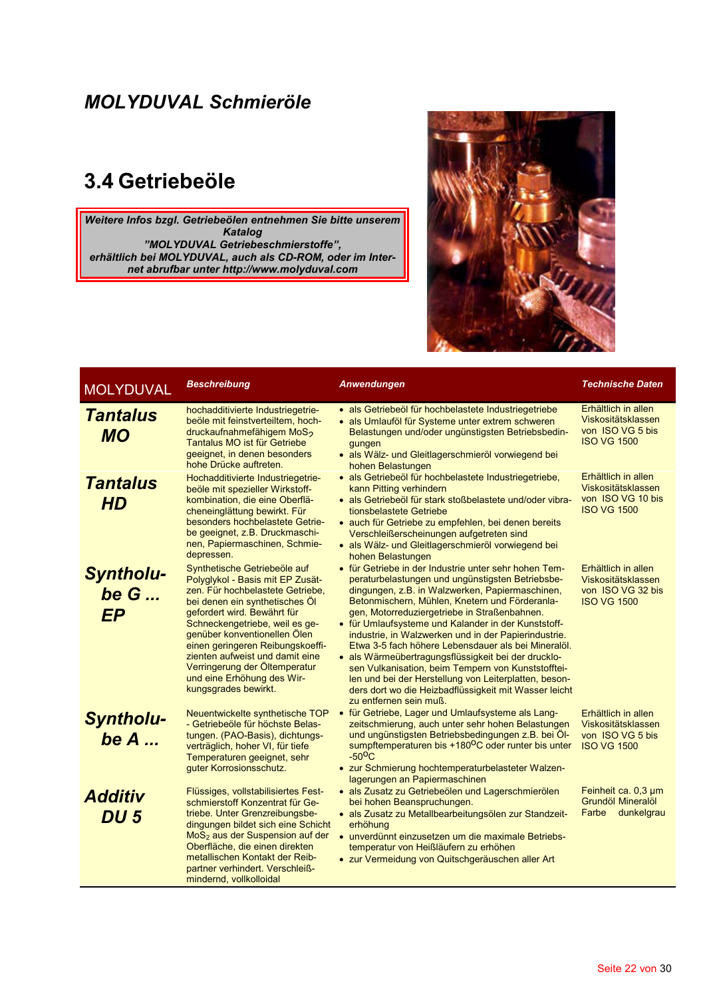## 3.4 Getriebeöle

Weitere Infos bzgl. Getriebeölen entnehmen Sie bitte unserem Katalog "MOLYDUVAL Getriebeschmierstoffe", erhältlich bei MOLYDUVAL, auch als CD-ROM, oder im Inter-<br>net abrufbar unter http://www.molyduval.com



| <b>MOLYDUVAL</b>                        | <b>Beschreibung</b>                                                                                                                                                                                                                                                                                                                                                                                   | Anwendungen                                                                                                                                                                                                                                                                                                                                                                                                                                                                                                                                                                                                                                                                                   | <b>Technische Daten</b>                                                              |
|-----------------------------------------|-------------------------------------------------------------------------------------------------------------------------------------------------------------------------------------------------------------------------------------------------------------------------------------------------------------------------------------------------------------------------------------------------------|-----------------------------------------------------------------------------------------------------------------------------------------------------------------------------------------------------------------------------------------------------------------------------------------------------------------------------------------------------------------------------------------------------------------------------------------------------------------------------------------------------------------------------------------------------------------------------------------------------------------------------------------------------------------------------------------------|--------------------------------------------------------------------------------------|
| <b>Tantalus</b><br><b>MO</b>            | hochadditivierte Industriegetrie-<br>beöle mit feinstverteiltem, hoch-<br>druckaufnahmefähigem MoS <sub>2</sub><br>Tantalus MO ist für Getriebe<br>geeignet, in denen besonders<br>hohe Drücke auftreten.                                                                                                                                                                                             | · als Getriebeöl für hochbelastete Industriegetriebe<br>· als Umlauföl für Systeme unter extrem schweren<br>Belastungen und/oder ungünstigsten Betriebsbedin-<br>gungen<br>· als Wälz- und Gleitlagerschmieröl vorwiegend bei<br>hohen Belastungen                                                                                                                                                                                                                                                                                                                                                                                                                                            | Erhältlich in allen<br>Viskositätsklassen<br>von ISO VG 5 bis<br><b>ISO VG 1500</b>  |
| <b>Tantalus</b><br><b>HD</b>            | Hochadditivierte Industriegetrie-<br>beöle mit spezieller Wirkstoff-<br>kombination, die eine Oberflä-<br>cheneinglättung bewirkt. Für<br>besonders hochbelastete Getrie-<br>be geeignet, z.B. Druckmaschi-<br>nen, Papiermaschinen, Schmie-<br>depressen.                                                                                                                                            | · als Getriebeöl für hochbelastete Industriegetriebe,<br>kann Pitting verhindern<br>· als Getriebeöl für stark stoßbelastete und/oder vibra-<br>tionsbelastete Getriebe<br>• auch für Getriebe zu empfehlen, bei denen bereits<br>Verschleißerscheinungen aufgetreten sind<br>· als Wälz- und Gleitlagerschmieröl vorwiegend bei<br>hohen Belastungen                                                                                                                                                                                                                                                                                                                                         | Erhältlich in allen<br>Viskositätsklassen<br>von ISO VG 10 bis<br><b>ISO VG 1500</b> |
| <b>Syntholu-</b><br>be $G$<br><b>EP</b> | Synthetische Getriebeöle auf<br>Polyglykol - Basis mit EP Zusät-<br>zen. Für hochbelastete Getriebe,<br>bei denen ein synthetisches Öl<br>gefordert wird. Bewährt für<br>Schneckengetriebe, weil es ge-<br>genüber konventionellen Ölen<br>einen geringeren Reibungskoeffi-<br>zienten aufweist und damit eine<br>Verringerung der Öltemperatur<br>und eine Erhöhung des Wir-<br>kungsgrades bewirkt. | • für Getriebe in der Industrie unter sehr hohen Tem-<br>peraturbelastungen und ungünstigsten Betriebsbe-<br>dingungen, z.B. in Walzwerken, Papiermaschinen,<br>Betonmischern, Mühlen, Knetern und Förderanla-<br>gen, Motorreduziergetriebe in Straßenbahnen.<br>• für Umlaufsysteme und Kalander in der Kunststoff-<br>industrie, in Walzwerken und in der Papierindustrie.<br>Etwa 3-5 fach höhere Lebensdauer als bei Mineralöl.<br>· als Wärmeübertragungsflüssigkeit bei der drucklo-<br>sen Vulkanisation, beim Tempern von Kunststofftei-<br>len und bei der Herstellung von Leiterplatten, beson-<br>ders dort wo die Heizbadflüssigkeit mit Wasser leicht<br>zu entfernen sein muß. | Erhältlich in allen<br>Viskositätsklassen<br>von ISO VG 32 bis<br><b>ISO VG 1500</b> |
| <b>Syntholu-</b><br>be $A_{}$           | Neuentwickelte synthetische TOP<br>- Getriebeöle für höchste Belas-<br>tungen. (PAO-Basis), dichtungs-<br>verträglich, hoher VI, für tiefe<br>Temperaturen geeignet, sehr<br>guter Korrosionsschutz.                                                                                                                                                                                                  | • für Getriebe, Lager und Umlaufsysteme als Lang-<br>zeitschmierung, auch unter sehr hohen Belastungen<br>und ungünstigsten Betriebsbedingungen z.B. bei Öl-<br>sumpftemperaturen bis +180 <sup>o</sup> C oder runter bis unter<br>$-50^{\circ}$ C<br>• zur Schmierung hochtemperaturbelasteter Walzen-<br>lagerungen an Papiermaschinen                                                                                                                                                                                                                                                                                                                                                      | Erhältlich in allen<br>Viskositätsklassen<br>von ISO VG 5 bis<br><b>ISO VG 1500</b>  |
| <b>Additiv</b><br>DU <sub>5</sub>       | Flüssiges, vollstabilisiertes Fest-<br>schmierstoff Konzentrat für Ge-<br>triebe. Unter Grenzreibungsbe-<br>dingungen bildet sich eine Schicht<br>MoS <sub>2</sub> aus der Suspension auf der<br>Oberfläche, die einen direkten<br>metallischen Kontakt der Reib-<br>partner verhindert. Verschleiß-<br>mindernd, vollkolloidal                                                                       | · als Zusatz zu Getriebeölen und Lagerschmierölen<br>bei hohen Beanspruchungen.<br>· als Zusatz zu Metallbearbeitungsölen zur Standzeit-<br>erhöhung<br>• unverdünnt einzusetzen um die maximale Betriebs-<br>temperatur von Heißläufern zu erhöhen<br>• zur Vermeidung von Quitschgeräuschen aller Art                                                                                                                                                                                                                                                                                                                                                                                       | Feinheit ca. 0.3 um<br>Grundöl Mineralöl<br>dunkelgrau<br>Farbe                      |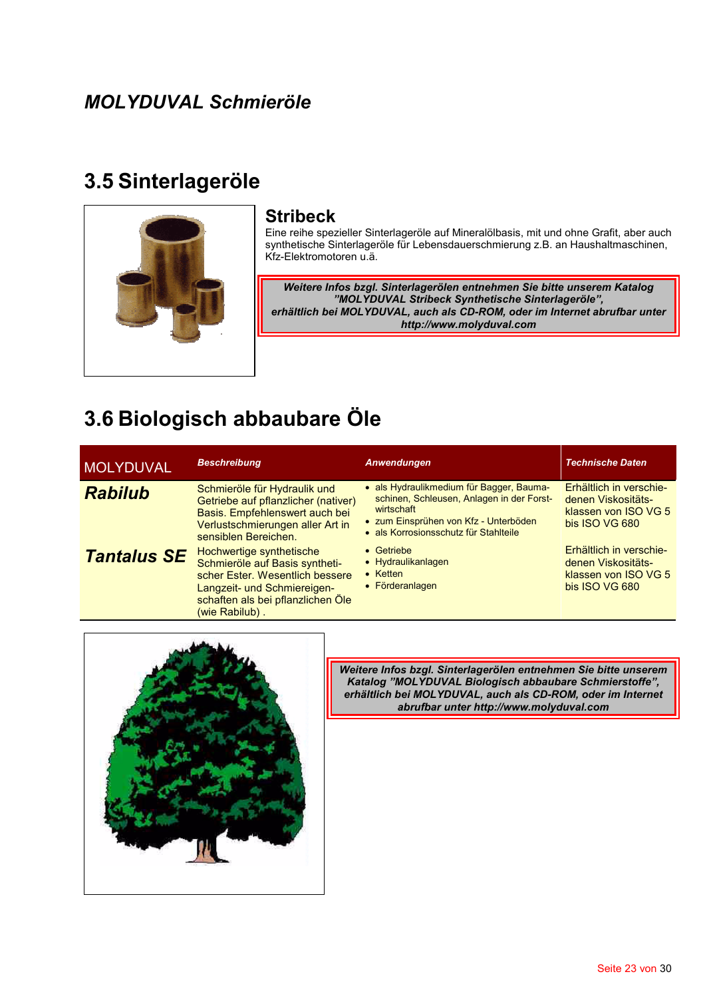## 3.5 Sinterlageröle



#### **Stribeck**

Eine reihe spezieller Sinterlageröle auf Mineralölbasis, mit und ohne Grafit, aber auch synthetische Sinterlageröle für Lebensdauerschmierung z.B. an Haushaltmaschinen, Kfz-Elektromotoren u.ä.

Weitere Infos bzgl. Sinterlagerölen entnehmen Sie bitte unserem Katalog "MOLYDUVAL Stribeck Synthetische Sinterlageröle", erhältlich bei MOLYDUVAL, auch als CD-ROM, oder im Internet abrufbar unter http://www.molyduval.com

## 3.6 Biologisch abbaubare Öle

| <b>MOLYDUVAL</b>   | <b>Beschreibung</b>                                                                                                                                                                 | Anwendungen                                                                                                                                                                           | <b>Technische Daten</b>                                                                 |
|--------------------|-------------------------------------------------------------------------------------------------------------------------------------------------------------------------------------|---------------------------------------------------------------------------------------------------------------------------------------------------------------------------------------|-----------------------------------------------------------------------------------------|
| <b>Rabilub</b>     | Schmieröle für Hydraulik und<br>Getriebe auf pflanzlicher (nativer)<br>Basis. Empfehlenswert auch bei<br>Verlustschmierungen aller Art in<br>sensiblen Bereichen.                   | • als Hydraulikmedium für Bagger, Bauma-<br>schinen, Schleusen, Anlagen in der Forst-<br>wirtschaft<br>• zum Einsprühen von Kfz - Unterböden<br>· als Korrosionsschutz für Stahlteile | Erhältlich in verschie-<br>denen Viskositäts-<br>klassen von ISO VG 5<br>bis ISO VG 680 |
| <b>Tantalus SE</b> | Hochwertige synthetische<br>Schmieröle auf Basis syntheti-<br>scher Ester. Wesentlich bessere<br>Langzeit- und Schmiereigen-<br>schaften als bei pflanzlichen Öle<br>(wie Rabilub). | • Getriebe<br>• Hydraulikanlagen<br>$\bullet$ Ketten<br>• Förderanlagen                                                                                                               | Erhältlich in verschie-<br>denen Viskositäts-<br>klassen von ISO VG 5<br>bis ISO VG 680 |



Weitere Infos bzgl. Sinterlagerölen entnehmen Sie bitte unserem Katalog "MOLYDUVAL Biologisch abbaubare Schmierstoffe", erhältlich bei MOLYDUVAL, auch als CD-ROM, oder im Internet abrufbar unter http://www.molyduval.com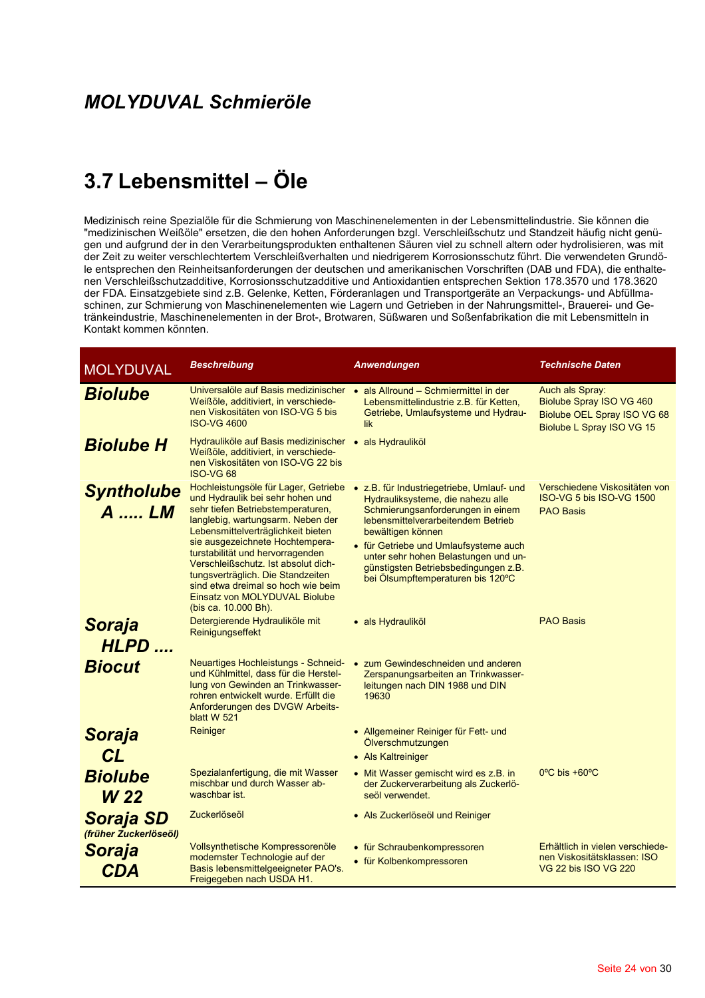## 3.7 Lebensmittel - Öle

Medizinisch reine Spezialöle für die Schmierung von Maschinenelementen in der Lebensmittelindustrie. Sie können die "medizinischen Weißöle" ersetzen, die den hohen Anforderungen bzgl. Verschleißschutz und Standzeit häufig nicht genügen und aufgrund der in den Verarbeitungsprodukten enthaltenen Säuren viel zu schnell altern oder hydrolisieren, was mit der Zeit zu weiter verschlechtertem Verschleißverhalten und niedrigerem Korrosionsschutz führt. Die verwendeten Grundöle entsprechen den Reinheitsanforderungen der deutschen und amerikanischen Vorschriften (DAB und FDA), die enthaltenen Verschleißschutzadditive, Korrosionsschutzadditive und Antioxidantien entsprechen Sektion 178.3570 und 178.3620 der FDA. Einsatzgebiete sind z.B. Gelenke, Ketten, Förderanlagen und Transportgeräte an Verpackungs- und Abfüllmaschinen, zur Schmierung von Maschinenelementen wie Lagern und Getrieben in der Nahrungsmittel-, Brauerei- und Getränkeindustrie, Maschinenelementen in der Brot-, Brotwaren, Süßwaren und Soßenfabrikation die mit Lebensmitteln in Kontakt kommen könnten.

| <b>MOLYDUVAL</b>                          | <b>Beschreibung</b>                                                                                                                                                                                                                                                                                                                                                                                                                        | Anwendungen                                                                                                                                                                                                                                                                                                                                  | <b>Technische Daten</b>                                                                                 |
|-------------------------------------------|--------------------------------------------------------------------------------------------------------------------------------------------------------------------------------------------------------------------------------------------------------------------------------------------------------------------------------------------------------------------------------------------------------------------------------------------|----------------------------------------------------------------------------------------------------------------------------------------------------------------------------------------------------------------------------------------------------------------------------------------------------------------------------------------------|---------------------------------------------------------------------------------------------------------|
| <b>Biolube</b>                            | Universalöle auf Basis medizinischer · als Allround - Schmiermittel in der<br>Weißöle, additiviert, in verschiede-<br>nen Viskositäten von ISO-VG 5 bis<br><b>ISO-VG 4600</b>                                                                                                                                                                                                                                                              | Lebensmittelindustrie z.B. für Ketten,<br>Getriebe, Umlaufsysteme und Hydrau-<br>lik                                                                                                                                                                                                                                                         | Auch als Spray:<br>Biolube Spray ISO VG 460<br>Biolube OEL Spray ISO VG 68<br>Biolube L Spray ISO VG 15 |
| <b>Biolube H</b>                          | Hydrauliköle auf Basis medizinischer · als Hydrauliköl<br>Weißöle, additiviert, in verschiede-<br>nen Viskositäten von ISO-VG 22 bis<br><b>ISO-VG 68</b>                                                                                                                                                                                                                                                                                   |                                                                                                                                                                                                                                                                                                                                              |                                                                                                         |
| <b>Syntholube</b><br>A  LM                | Hochleistungsöle für Lager, Getriebe<br>und Hydraulik bei sehr hohen und<br>sehr tiefen Betriebstemperaturen,<br>langlebig, wartungsarm. Neben der<br>Lebensmittelverträglichkeit bieten<br>sie ausgezeichnete Hochtempera-<br>turstabilität und hervorragenden<br>Verschleißschutz. Ist absolut dich-<br>tungsverträglich. Die Standzeiten<br>sind etwa dreimal so hoch wie beim<br>Einsatz von MOLYDUVAL Biolube<br>(bis ca. 10.000 Bh). | • z.B. für Industriegetriebe, Umlauf- und<br>Hydrauliksysteme, die nahezu alle<br>Schmierungsanforderungen in einem<br>lebensmittelverarbeitendem Betrieb<br>bewältigen können<br>• für Getriebe und Umlaufsysteme auch<br>unter sehr hohen Belastungen und un-<br>günstigsten Betriebsbedingungen z.B.<br>bei Ölsumpftemperaturen bis 120°C | Verschiedene Viskositäten von<br>ISO-VG 5 bis ISO-VG 1500<br><b>PAO Basis</b>                           |
| <b>Soraja</b><br>HLPD                     | Detergierende Hydrauliköle mit<br>Reinigungseffekt                                                                                                                                                                                                                                                                                                                                                                                         | · als Hydrauliköl                                                                                                                                                                                                                                                                                                                            | <b>PAO Basis</b>                                                                                        |
| <b>Biocut</b>                             | Neuartiges Hochleistungs - Schneid-<br>und Kühlmittel, dass für die Herstel-<br>lung von Gewinden an Trinkwasser-<br>rohren entwickelt wurde. Erfüllt die<br>Anforderungen des DVGW Arbeits-<br>blatt W 521                                                                                                                                                                                                                                | • zum Gewindeschneiden und anderen<br>Zerspanungsarbeiten an Trinkwasser-<br>leitungen nach DIN 1988 und DIN<br>19630                                                                                                                                                                                                                        |                                                                                                         |
| Soraja                                    | Reiniger                                                                                                                                                                                                                                                                                                                                                                                                                                   | • Allgemeiner Reiniger für Fett- und<br>Ölverschmutzungen                                                                                                                                                                                                                                                                                    |                                                                                                         |
| CL                                        |                                                                                                                                                                                                                                                                                                                                                                                                                                            | • Als Kaltreiniger                                                                                                                                                                                                                                                                                                                           |                                                                                                         |
| <b>Biolube</b><br><b>W</b> 22             | Spezialanfertigung, die mit Wasser<br>mischbar und durch Wasser ab-<br>waschbar ist.                                                                                                                                                                                                                                                                                                                                                       | • Mit Wasser gemischt wird es z.B. in<br>der Zuckerverarbeitung als Zuckerlö-<br>seöl verwendet.                                                                                                                                                                                                                                             | $0^{\circ}$ C bis +60 $^{\circ}$ C                                                                      |
| <b>Soraja SD</b><br>(früher Zuckerlöseöl) | Zuckerlöseöl                                                                                                                                                                                                                                                                                                                                                                                                                               | • Als Zuckerlöseöl und Reiniger                                                                                                                                                                                                                                                                                                              |                                                                                                         |
| <b>Soraja</b><br><b>CDA</b>               | Vollsynthetische Kompressorenöle<br>modernster Technologie auf der<br>Basis lebensmittelgeeigneter PAO's.                                                                                                                                                                                                                                                                                                                                  | • für Schraubenkompressoren<br>• für Kolbenkompressoren                                                                                                                                                                                                                                                                                      | Erhältlich in vielen verschiede-<br>nen Viskositätsklassen: ISO<br>VG 22 bis ISO VG 220                 |
|                                           | Freigegeben nach USDA H1.                                                                                                                                                                                                                                                                                                                                                                                                                  |                                                                                                                                                                                                                                                                                                                                              |                                                                                                         |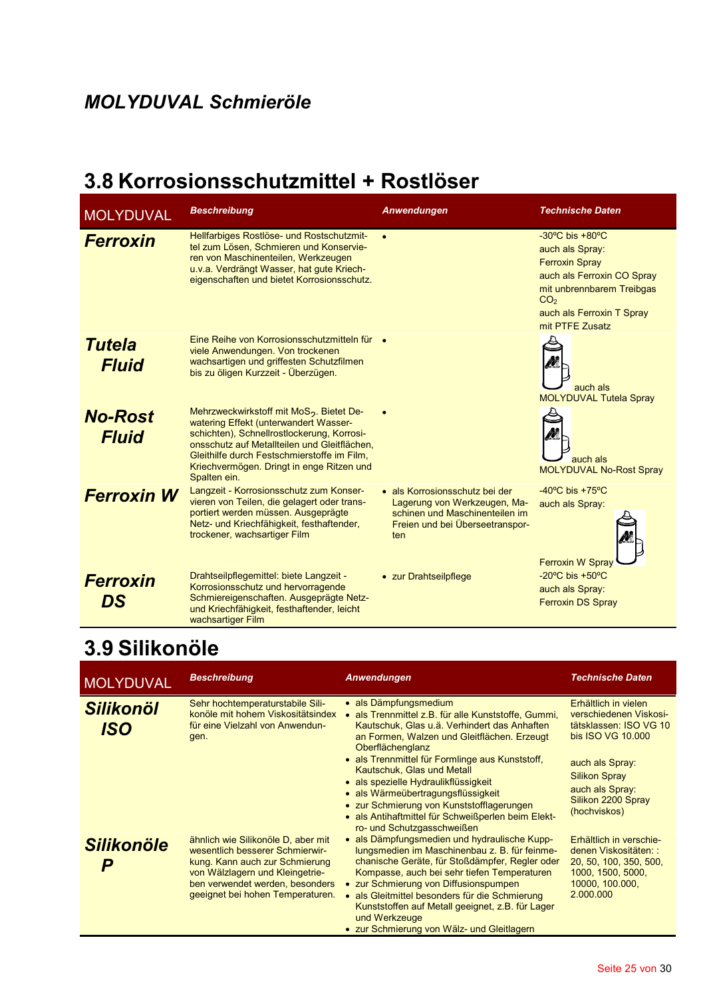## 3.8 Korrosionsschutzmittel + Rostlöser

| <b>MOLYDUVAL</b>               | <b>Beschreibung</b>                                                                                                                                                                                                                                                                                     | Anwendungen                                                                                                                                | <b>Technische Daten</b>                                                                                                                                                                                       |
|--------------------------------|---------------------------------------------------------------------------------------------------------------------------------------------------------------------------------------------------------------------------------------------------------------------------------------------------------|--------------------------------------------------------------------------------------------------------------------------------------------|---------------------------------------------------------------------------------------------------------------------------------------------------------------------------------------------------------------|
| <b>Ferroxin</b>                | Hellfarbiges Rostlöse- und Rostschutzmit-<br>tel zum Lösen, Schmieren und Konservie-<br>ren von Maschinenteilen, Werkzeugen<br>u.v.a. Verdrängt Wasser, hat gute Kriech-<br>eigenschaften und bietet Korrosionsschutz.                                                                                  | $\bullet$                                                                                                                                  | $-30^{\circ}$ C bis $+80^{\circ}$ C<br>auch als Spray:<br><b>Ferroxin Spray</b><br>auch als Ferroxin CO Spray<br>mit unbrennbarem Treibgas<br>CO <sub>2</sub><br>auch als Ferroxin T Spray<br>mit PTFE Zusatz |
| <b>Tutela</b><br><b>Fluid</b>  | Eine Reihe von Korrosionsschutzmitteln für<br>viele Anwendungen. Von trockenen<br>wachsartigen und griffesten Schutzfilmen<br>bis zu öligen Kurzzeit - Überzügen.                                                                                                                                       |                                                                                                                                            | auch als<br><b>MOLYDUVAL Tutela Spray</b>                                                                                                                                                                     |
| <b>No-Rost</b><br><b>Fluid</b> | Mehrzweckwirkstoff mit MoS <sub>2</sub> . Bietet De-<br>watering Effekt (unterwandert Wasser-<br>schichten), Schnellrostlockerung, Korrosi-<br>onsschutz auf Metallteilen und Gleitflächen.<br>Gleithilfe durch Festschmierstoffe im Film,<br>Kriechvermögen. Dringt in enge Ritzen und<br>Spalten ein. |                                                                                                                                            | auch als<br>MOLYDUVAL No-Rost Spray                                                                                                                                                                           |
| <b>Ferroxin W</b>              | Langzeit - Korrosionsschutz zum Konser-<br>vieren von Teilen, die gelagert oder trans-<br>portiert werden müssen. Ausgeprägte<br>Netz- und Kriechfähigkeit, festhaftender,<br>trockener, wachsartiger Film                                                                                              | · als Korrosionsschutz bei der<br>Lagerung von Werkzeugen, Ma-<br>schinen und Maschinenteilen im<br>Freien und bei Überseetranspor-<br>ten | $-40^{\circ}$ C bis $+75^{\circ}$ C<br>auch als Spray:<br><b>Ferroxin W Spray</b>                                                                                                                             |
| <b>Ferroxin</b><br>DS          | Drahtseilpflegemittel: biete Langzeit -<br>Korrosionsschutz und hervorragende<br>Schmiereigenschaften. Ausgeprägte Netz-<br>und Kriechfähigkeit, festhaftender, leicht<br>wachsartiger Film                                                                                                             | • zur Drahtseilpflege                                                                                                                      | -20 $\mathrm{^{\circ}C}$ bis +50 $\mathrm{^{\circ}C}$<br>auch als Spray:<br><b>Ferroxin DS Spray</b>                                                                                                          |

## 3.9 Silikonöle

| <b>MOLYDUVAL</b>        | <b>Beschreibung</b>                                                                                                                                                                                               | Anwendungen                                                                                                                                                                                                                                                                                                                                                                                                | <b>Technische Daten</b>                                                                                                         |
|-------------------------|-------------------------------------------------------------------------------------------------------------------------------------------------------------------------------------------------------------------|------------------------------------------------------------------------------------------------------------------------------------------------------------------------------------------------------------------------------------------------------------------------------------------------------------------------------------------------------------------------------------------------------------|---------------------------------------------------------------------------------------------------------------------------------|
| <b>Silikonöl</b><br>ISO | Sehr hochtemperaturstabile Sili-<br>konöle mit hohem Viskositätsindex<br>für eine Vielzahl von Anwendun-<br>gen.                                                                                                  | • als Dämpfungsmedium<br>als Trennmittel z.B. für alle Kunststoffe, Gummi,<br>Kautschuk, Glas u.ä. Verhindert das Anhaften<br>an Formen, Walzen und Gleitflächen. Erzeugt<br>Oberflächenglanz                                                                                                                                                                                                              | Erhältlich in vielen<br>verschiedenen Viskosi-<br>tätsklassen: ISO VG 10<br>bis ISO VG 10.000                                   |
|                         |                                                                                                                                                                                                                   | • als Trennmittel für Formlinge aus Kunststoff,<br>Kautschuk, Glas und Metall<br>• als spezielle Hydraulikflüssigkeit<br>• als Wärmeübertragungsflüssigkeit<br>• zur Schmierung von Kunststofflagerungen<br>• als Antihaftmittel für Schweißperlen beim Elekt-<br>ro- und Schutzgasschweißen                                                                                                               | auch als Spray:<br><b>Silikon Spray</b><br>auch als Spray:<br>Silikon 2200 Spray<br>(hochviskos)                                |
| <b>Silikonöle</b>       | ähnlich wie Silikonöle D, aber mit<br>wesentlich besserer Schmierwir-<br>kung. Kann auch zur Schmierung<br>von Wälzlagern und Kleingetrie-<br>ben verwendet werden, besonders<br>geeignet bei hohen Temperaturen. | • als Dämpfungsmedien und hydraulische Kupp-<br>lungsmedien im Maschinenbau z. B. für feinme-<br>chanische Geräte, für Stoßdämpfer, Regler oder<br>Kompasse, auch bei sehr tiefen Temperaturen<br>• zur Schmierung von Diffusionspumpen<br>als Gleitmittel besonders für die Schmierung<br>Kunststoffen auf Metall geeignet, z.B. für Lager<br>und Werkzeuge<br>• zur Schmierung von Wälz- und Gleitlagern | Erhältlich in verschie-<br>denen Viskositäten: :<br>20, 50, 100, 350, 500,<br>1000, 1500, 5000,<br>10000, 100.000,<br>2.000.000 |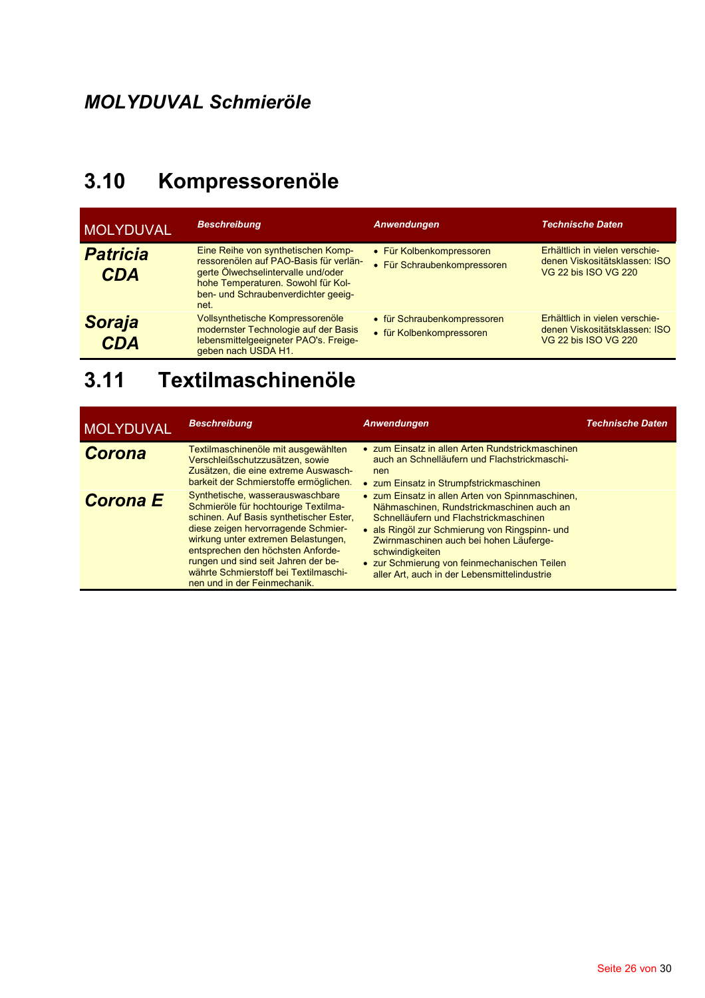#### Kompressorenöle  $3.10$

| <b>MOLYDUVAL</b>              | <b>Beschreibung</b>                                                                                                                                                                                     | <b>Anwendungen</b>                                      | <b>Technische Daten</b>                                                                 |
|-------------------------------|---------------------------------------------------------------------------------------------------------------------------------------------------------------------------------------------------------|---------------------------------------------------------|-----------------------------------------------------------------------------------------|
| <b>Patricia</b><br><b>CDA</b> | Eine Reihe von synthetischen Komp-<br>ressorenölen auf PAO-Basis für verlän-<br>gerte Ölwechselintervalle und/oder<br>hohe Temperaturen. Sowohl für Kol-<br>ben- und Schraubenverdichter geeig-<br>net. | • Für Kolbenkompressoren<br>• Für Schraubenkompressoren | Erhältlich in vielen verschie-<br>denen Viskositätsklassen: ISO<br>VG 22 bis ISO VG 220 |
| <b>Soraja</b><br><b>CDA</b>   | Vollsynthetische Kompressorenöle<br>modernster Technologie auf der Basis<br>lebensmittelgeeigneter PAO's. Freige-<br>geben nach USDA H1.                                                                | • für Schraubenkompressoren<br>• für Kolbenkompressoren | Erhältlich in vielen verschie-<br>denen Viskositätsklassen: ISO<br>VG 22 bis ISO VG 220 |

## 3.11 Textilmaschinenöle

| <b>MOLYDUVAL</b> | <b>Beschreibung</b>                                                                                                                                                                                                                                                                                                                                    | <b>Anwendungen</b>                                                                                                                                                                                                                                                                                                                                      | <b>Technische Daten</b> |
|------------------|--------------------------------------------------------------------------------------------------------------------------------------------------------------------------------------------------------------------------------------------------------------------------------------------------------------------------------------------------------|---------------------------------------------------------------------------------------------------------------------------------------------------------------------------------------------------------------------------------------------------------------------------------------------------------------------------------------------------------|-------------------------|
| <b>Corona</b>    | Textilmaschinenöle mit ausgewählten<br>Verschleißschutzzusätzen, sowie<br>Zusätzen, die eine extreme Auswasch-<br>barkeit der Schmierstoffe ermöglichen.                                                                                                                                                                                               | • zum Einsatz in allen Arten Rundstrickmaschinen<br>auch an Schnelläufern und Flachstrickmaschi-<br>nen<br>• zum Einsatz in Strumpfstrickmaschinen                                                                                                                                                                                                      |                         |
| <b>Corona E</b>  | Synthetische, wasserauswaschbare<br>Schmieröle für hochtourige Textilma-<br>schinen. Auf Basis synthetischer Ester,<br>diese zeigen hervorragende Schmier-<br>wirkung unter extremen Belastungen,<br>entsprechen den höchsten Anforde-<br>rungen und sind seit Jahren der be-<br>währte Schmierstoff bei Textilmaschi-<br>nen und in der Feinmechanik. | • zum Einsatz in allen Arten von Spinnmaschinen,<br>Nähmaschinen, Rundstrickmaschinen auch an<br>Schnelläufern und Flachstrickmaschinen<br>· als Ringöl zur Schmierung von Ringspinn- und<br>Zwirnmaschinen auch bei hohen Läuferge-<br>schwindigkeiten<br>• zur Schmierung von feinmechanischen Teilen<br>aller Art, auch in der Lebensmittelindustrie |                         |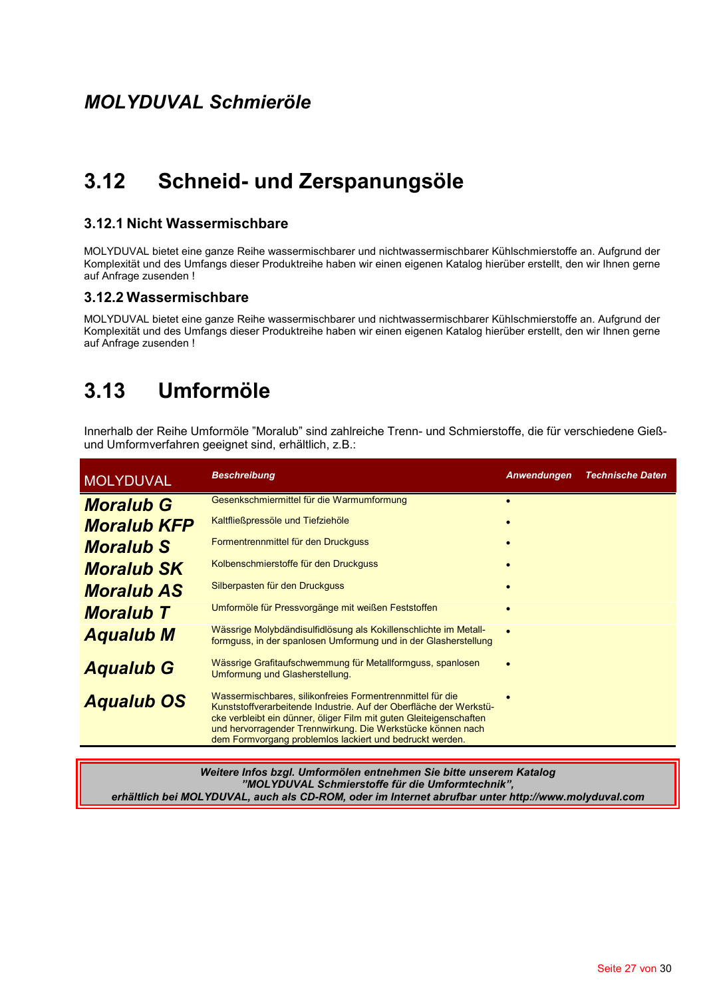#### $3.12$ Schneid- und Zerspanungsöle

#### 3.12.1 Nicht Wassermischbare

MOLYDUVAL bietet eine ganze Reihe wassermischbarer und nichtwassermischbarer Kühlschmierstoffe an. Aufgrund der Komplexität und des Umfangs dieser Produktreihe haben wir einen eigenen Katalog hierüber erstellt, den wir Ihnen gerne auf Anfrage zusenden !

#### 3.12.2 Wassermischbare

MOLYDUVAL bietet eine ganze Reihe wassermischbarer und nichtwassermischbarer Kühlschmierstoffe an. Aufgrund der Komplexität und des Umfangs dieser Produktreihe haben wir einen eigenen Katalog hierüber erstellt, den wir Ihnen gerne auf Anfrage zusenden!

#### Umformöle  $3.13$

Innerhalb der Reihe Umformöle "Moralub" sind zahlreiche Trenn- und Schmierstoffe, die für verschiedene Gießund Umformverfahren geeignet sind, erhältlich, z.B.:

| <b>MOLYDUVAL</b>   | <b>Beschreibung</b>                                                                                                                                                                                                                                                                                                              | Anwendungen | <b>Technische Daten</b> |
|--------------------|----------------------------------------------------------------------------------------------------------------------------------------------------------------------------------------------------------------------------------------------------------------------------------------------------------------------------------|-------------|-------------------------|
| <b>Moralub G</b>   | Gesenkschmiermittel für die Warmumformung                                                                                                                                                                                                                                                                                        |             |                         |
| <b>Moralub KFP</b> | Kaltfließpressöle und Tiefziehöle                                                                                                                                                                                                                                                                                                |             |                         |
| <b>Moralub S</b>   | Formentrennmittel für den Druckguss                                                                                                                                                                                                                                                                                              |             |                         |
| <b>Moralub SK</b>  | Kolbenschmierstoffe für den Druckguss                                                                                                                                                                                                                                                                                            |             |                         |
| <b>Moralub AS</b>  | Silberpasten für den Druckguss                                                                                                                                                                                                                                                                                                   |             |                         |
| <b>Moralub T</b>   | Umformöle für Pressvorgänge mit weißen Feststoffen                                                                                                                                                                                                                                                                               |             |                         |
| <b>Aqualub M</b>   | Wässrige Molybdändisulfidlösung als Kokillenschlichte im Metall-<br>formguss, in der spanlosen Umformung und in der Glasherstellung                                                                                                                                                                                              |             |                         |
| <b>Aqualub G</b>   | Wässrige Grafitaufschwemmung für Metallformguss, spanlosen<br>Umformung und Glasherstellung.                                                                                                                                                                                                                                     |             |                         |
| <b>Aqualub OS</b>  | Wassermischbares, silikonfreies Formentrennmittel für die<br>Kunststoffverarbeitende Industrie. Auf der Oberfläche der Werkstü-<br>cke verbleibt ein dünner, öliger Film mit guten Gleiteigenschaften<br>und hervorragender Trennwirkung. Die Werkstücke können nach<br>dem Formvorgang problemios lackiert und bedruckt werden. |             |                         |

Weitere Infos bzgl. Umformölen entnehmen Sie bitte unserem Katalog "MOLYDUVAL Schmierstoffe für die Umformtechnik", erhältlich bei MOLYDUVAL, auch als CD-ROM, oder im Internet abrufbar unter http://www.molyduval.com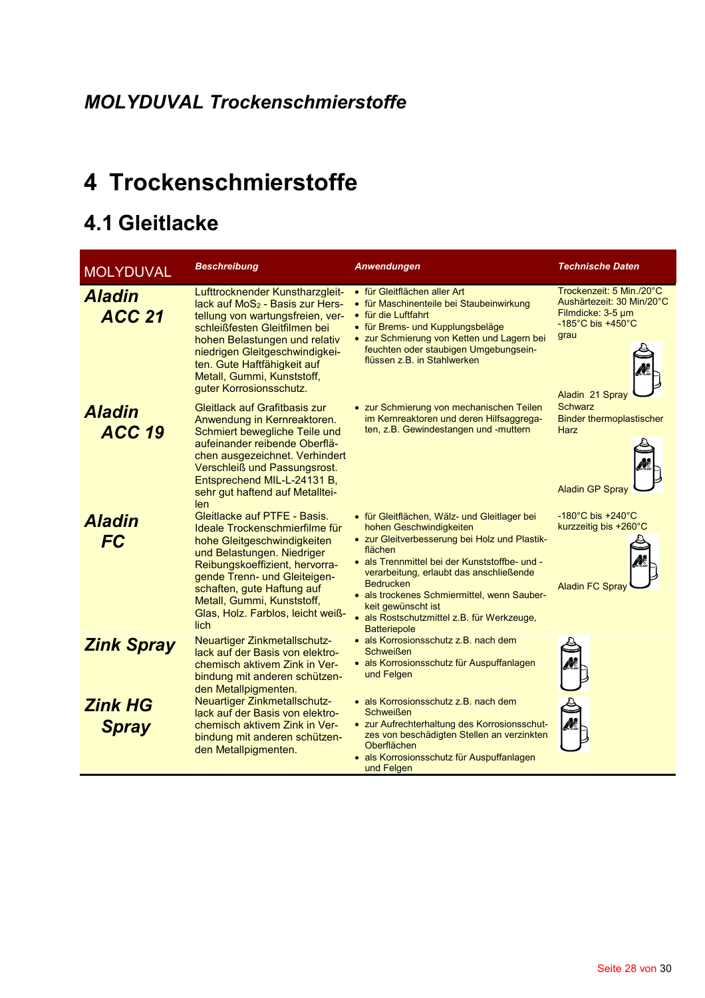## 4 Trockenschmierstoffe

## 4.1 Gleitlacke

| <b>MOLYDUVAL</b>               | <b>Beschreibung</b>                                                                                                                                                                                                                                                                                    | Anwendungen                                                                                                                                                                                                                                                                                                                                                                                   | Technische Daten                                                                                                                                |
|--------------------------------|--------------------------------------------------------------------------------------------------------------------------------------------------------------------------------------------------------------------------------------------------------------------------------------------------------|-----------------------------------------------------------------------------------------------------------------------------------------------------------------------------------------------------------------------------------------------------------------------------------------------------------------------------------------------------------------------------------------------|-------------------------------------------------------------------------------------------------------------------------------------------------|
| <b>Aladin</b><br><b>ACC 21</b> | Lufttrocknender Kunstharzgleit-<br>lack auf $MoS2 - Basis zur Hers-$<br>tellung von wartungsfreien, ver-<br>schleißfesten Gleitfilmen bei<br>hohen Belastungen und relativ<br>niedrigen Gleitgeschwindigkei-<br>ten. Gute Haftfähigkeit auf<br>Metall, Gummi, Kunststoff,<br>guter Korrosionsschutz.   | • für Gleitflächen aller Art<br>• für Maschinenteile bei Staubeinwirkung<br>• für die Luftfahrt<br>• für Brems- und Kupplungsbeläge<br>• zur Schmierung von Ketten und Lagern bei<br>feuchten oder staubigen Umgebungsein-<br>flüssen z.B. in Stahlwerken                                                                                                                                     | Trockenzeit: 5 Min./20°C<br>Aushärtezeit: 30 Min/20°C<br>Filmdicke: 3-5 µm<br>$-185^{\circ}$ C bis +450 $^{\circ}$ C<br>grau<br>Aladin 21 Spray |
| <b>Aladin</b><br><b>ACC 19</b> | <b>Gleitlack auf Grafitbasis zur</b><br>Anwendung in Kernreaktoren.<br>Schmiert bewegliche Teile und<br>aufeinander reibende Oberflä-<br>chen ausgezeichnet. Verhindert<br>Verschleiß und Passungsrost.<br>Entsprechend MIL-L-24131 B,<br>sehr gut haftend auf Metalltei-<br>len.                      | • zur Schmierung von mechanischen Teilen<br>im Kernreaktoren und deren Hilfsaggrega-<br>ten, z.B. Gewindestangen und -muttern                                                                                                                                                                                                                                                                 | <b>Schwarz</b><br><b>Binder thermoplastischer</b><br>Harz<br><b>Aladin GP Spray</b>                                                             |
| <b>Aladin</b><br><b>FC</b>     | Gleitlacke auf PTFE - Basis.<br>Ideale Trockenschmierfilme für<br>hohe Gleitgeschwindigkeiten<br>und Belastungen. Niedriger<br>Reibungskoeffizient, hervorra-<br>gende Trenn- und Gleiteigen-<br>schaften, gute Haftung auf<br>Metall, Gummi, Kunststoff,<br>Glas, Holz. Farblos, leicht weiß-<br>lich | • für Gleitflächen, Wälz- und Gleitlager bei<br>hohen Geschwindigkeiten<br>• zur Gleitverbesserung bei Holz und Plastik-<br>flächen<br>· als Trennmittel bei der Kunststoffbe- und -<br>verarbeitung, erlaubt das anschließende<br><b>Bedrucken</b><br>• als trockenes Schmiermittel, wenn Sauber-<br>keit gewünscht ist<br>• als Rostschutzmittel z.B. für Werkzeuge,<br><b>Batteriepole</b> | $-180^{\circ}$ C bis $+240^{\circ}$ C<br>kurzzeitig bis +260°C<br>Aladin FC Spray                                                               |
| <b>Zink Spray</b>              | Neuartiger Zinkmetallschutz-<br>lack auf der Basis von elektro-<br>chemisch aktivem Zink in Ver-<br>bindung mit anderen schützen-<br>den Metallpigmenten.                                                                                                                                              | • als Korrosionsschutz z.B. nach dem<br><b>Schweißen</b><br>• als Korrosionsschutz für Auspuffanlagen<br>und Felgen                                                                                                                                                                                                                                                                           |                                                                                                                                                 |
| <b>Zink HG</b><br><b>Spray</b> | Neuartiger Zinkmetallschutz-<br>lack auf der Basis von elektro-<br>chemisch aktivem Zink in Ver-<br>bindung mit anderen schützen-<br>den Metallpigmenten.                                                                                                                                              | • als Korrosionsschutz z.B. nach dem<br>Schweißen<br>• zur Aufrechterhaltung des Korrosionsschut-<br>zes von beschädigten Stellen an verzinkten<br><b>Oberflächen</b><br>• als Korrosionsschutz für Auspuffanlagen<br>und Felgen                                                                                                                                                              |                                                                                                                                                 |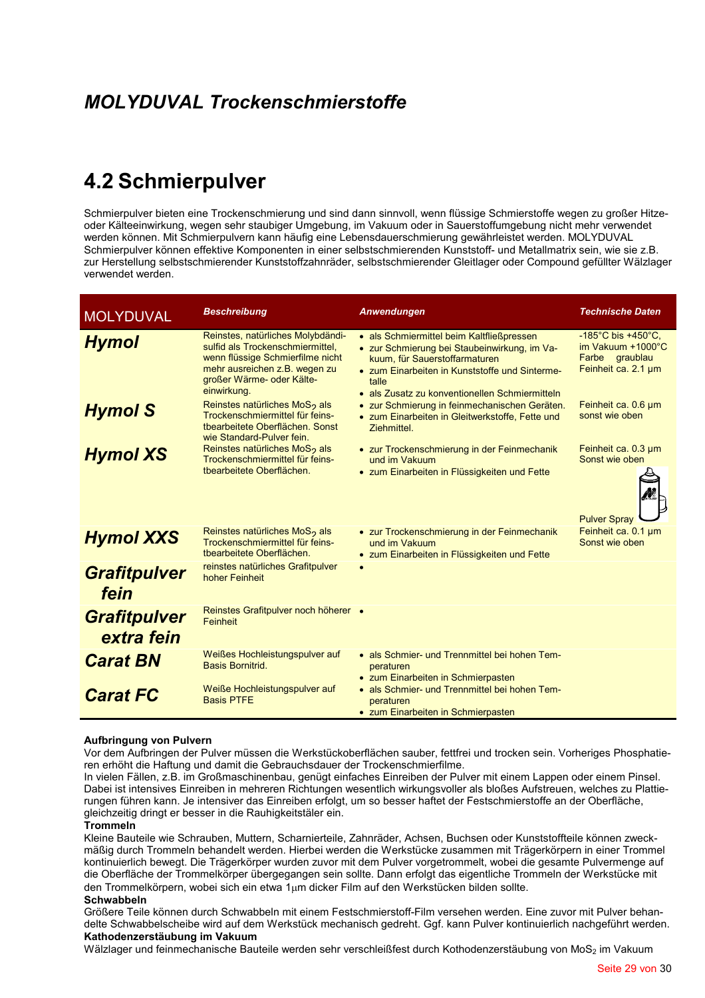### **MOLYDUVAL Trockenschmierstoffe**

## **4.2 Schmierpulver**

Schmierpulver bieten eine Trockenschmierung und sind dann sinnvoll, wenn flüssige Schmierstoffe wegen zu großer Hitzeoder Kälteeinwirkung, wegen sehr staubiger Umgebung, im Vakuum oder in Sauerstoffumgebung nicht mehr verwendet werden können. Mit Schmierpulvern kann häufig eine Lebensdauerschmierung gewährleistet werden. MOLYDUVAL Schmierpulver können effektive Komponenten in einer selbstschmierenden Kunststoff- und Metallmatrix sein, wie sie z.B. zur Herstellung selbstschmierender Kunststoffzahnräder, selbstschmierender Gleitlager oder Compound gefüllter Wälzlager verwendet werden.

| <b>MOLYDUVAL</b>                  | <b>Beschreibung</b>                                                                                                                                                                    | Anwendungen                                                                                                                                                                                                                             | <b>Technische Daten</b>                                                                                |
|-----------------------------------|----------------------------------------------------------------------------------------------------------------------------------------------------------------------------------------|-----------------------------------------------------------------------------------------------------------------------------------------------------------------------------------------------------------------------------------------|--------------------------------------------------------------------------------------------------------|
| <b>Hymol</b>                      | Reinstes, natürliches Molybdändi-<br>sulfid als Trockenschmiermittel,<br>wenn flüssige Schmierfilme nicht<br>mehr ausreichen z.B. wegen zu<br>großer Wärme- oder Kälte-<br>einwirkung. | • als Schmiermittel beim Kaltfließpressen<br>• zur Schmierung bei Staubeinwirkung, im Va-<br>kuum, für Sauerstoffarmaturen<br>• zum Einarbeiten in Kunststoffe und Sinterme-<br>talle<br>• als Zusatz zu konventionellen Schmiermitteln | -185 $^{\circ}$ C bis +450 $^{\circ}$ C,<br>im Vakuum +1000°C<br>Farbe graublau<br>Feinheit ca. 2.1 µm |
| <b>Hymol S</b>                    | Reinstes natürliches MoS <sub>2</sub> als<br>Trockenschmiermittel für feins-<br>tbearbeitete Oberflächen, Sonst<br>wie Standard-Pulver fein.                                           | • zur Schmierung in feinmechanischen Geräten.<br>• zum Einarbeiten in Gleitwerkstoffe, Fette und<br>Ziehmittel.                                                                                                                         | Feinheit ca. 0.6 um<br>sonst wie oben                                                                  |
| <b>Hymol XS</b>                   | Reinstes natürliches MoS <sub>2</sub> als<br>Trockenschmiermittel für feins-<br>tbearbeitete Oberflächen.                                                                              | • zur Trockenschmierung in der Feinmechanik<br>und im Vakuum<br>• zum Einarbeiten in Flüssigkeiten und Fette                                                                                                                            | Feinheit ca. 0.3 µm<br>Sonst wie oben                                                                  |
| <b>Hymol XXS</b>                  | Reinstes natürliches MoS <sub>2</sub> als<br>Trockenschmiermittel für feins-<br>tbearbeitete Oberflächen.                                                                              | • zur Trockenschmierung in der Feinmechanik<br>und im Vakuum<br>• zum Einarbeiten in Flüssigkeiten und Fette                                                                                                                            | <b>Pulver Spray</b><br>Feinheit ca. 0.1 µm<br>Sonst wie oben                                           |
| <b>Grafitpulver</b><br>fein       | reinstes natürliches Grafitpulver<br>hoher Feinheit                                                                                                                                    | $\bullet$                                                                                                                                                                                                                               |                                                                                                        |
| <b>Grafitpulver</b><br>extra fein | Reinstes Grafitpulver noch höherer •<br><b>Feinheit</b>                                                                                                                                |                                                                                                                                                                                                                                         |                                                                                                        |
| <b>Carat BN</b>                   | Weißes Hochleistungspulver auf<br>Basis Bornitrid.                                                                                                                                     | • als Schmier- und Trennmittel bei hohen Tem-<br>peraturen<br>• zum Einarbeiten in Schmierpasten                                                                                                                                        |                                                                                                        |
| <b>Carat FC</b>                   | Weiße Hochleistungspulver auf<br><b>Basis PTFE</b>                                                                                                                                     | • als Schmier- und Trennmittel bei hohen Tem-<br>peraturen<br>• zum Einarbeiten in Schmierpasten                                                                                                                                        |                                                                                                        |

#### Aufbringung von Pulvern

Vor dem Aufbringen der Pulver müssen die Werkstückoberflächen sauber, fettfrei und trocken sein. Vorheriges Phosphatieren erhöht die Haftung und damit die Gebrauchsdauer der Trockenschmierfilme.

In vielen Fällen, z.B. im Großmaschinenbau, genügt einfaches Einreiben der Pulver mit einem Lappen oder einem Pinsel. Dabei ist intensives Einreiben in mehreren Richtungen wesentlich wirkungsvoller als bloßes Aufstreuen, welches zu Plattierungen führen kann. Je intensiver das Einreiben erfolgt, um so besser haftet der Festschmierstoffe an der Oberfläche, gleichzeitig dringt er besser in die Rauhigkeitstäler ein.

#### Trommeln

Kleine Bauteile wie Schrauben, Muttern, Scharnierteile, Zahnräder, Achsen, Buchsen oder Kunststoffteile können zweckmäßig durch Trommeln behandelt werden. Hierbei werden die Werkstücke zusammen mit Trägerkörpern in einer Trommel kontinuierlich bewegt. Die Trägerkörper wurden zuvor mit dem Pulver vorgetrommelt, wobei die gesamte Pulvermenge auf die Oberfläche der Trommelkörper übergegangen sein sollte. Dann erfolgt das eigentliche Trommeln der Werkstücke mit den Trommelkörpern, wobei sich ein etwa 1µm dicker Film auf den Werkstücken bilden sollte. Schwahheln

Größere Teile können durch Schwabbeln mit einem Festschmierstoff-Film versehen werden. Eine zuvor mit Pulver behandelte Schwabbelscheibe wird auf dem Werkstück mechanisch gedreht. Ggf. kann Pulver kontinuierlich nachgeführt werden. Kathodenzerstäubung im Vakuum

Wälzlager und feinmechanische Bauteile werden sehr verschleißfest durch Kothodenzerstäubung von MoS2 im Vakuum